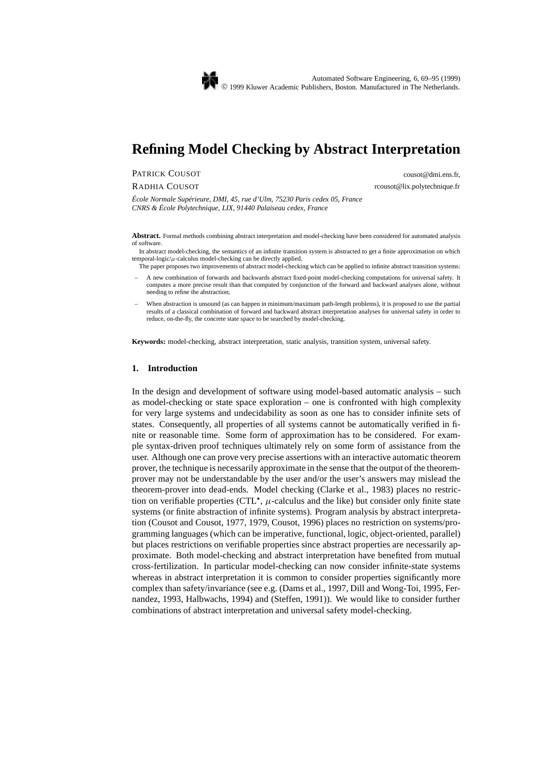# **Refining Model Checking by Abstract Interpretation**

PATRICK COUSOT

RADHIA COUSOT

cousot@dmi.ens.fr, rcousot@lix.polytechnique.fr

*École Normale Supérieure, DMI, 45, rue d'Ulm, 75230 Paris cedex 05, France CNRS & École Polytechnique, LIX, 91440 Palaiseau cedex, France*

**Abstract.** Formal methods combining abstract interpretation and model-checking have been considered for automated analysis of software.

In abstract model-checking, the semantics of an infinite transition system is abstracted to get a finite approximation on which temporal-logic/ $\mu$ -calculus model-checking can be directly applied.

- The paper proposes two improvements of abstract model-checking which can be applied to infinite abstract transition systems: – A new combination of forwards and backwards abstract fixed-point model-checking computations for universal safety. It computes a more precise result than that computed by conjunction of the forward and backward analyses alone, without
- needing to refine the abstraction; – When abstraction is unsound (as can happen in minimum/maximum path-length problems), it is proposed to use the partial
- results of a classical combination of forward and backward abstract interpretation analyses for universal safety in order to reduce, on-the-fly, the concrete state space to be searched by model-checking.

**Keywords:** model-checking, abstract interpretation, static analysis, transition system, universal safety.

## **1. Introduction**

In the design and development of software using model-based automatic analysis – such as model-checking or state space exploration – one is confronted with high complexity for very large systems and undecidability as soon as one has to consider infinite sets of states. Consequently, all properties of all systems cannot be automatically verified in finite or reasonable time. Some form of approximation has to be considered. For example syntax-driven proof techniques ultimately rely on some form of assistance from the user. Although one can prove very precise assertions with an interactive automatic theorem prover, the technique is necessarily approximate in the sense that the output of the theoremprover may not be understandable by the user and/or the user's answers may mislead the theorem-prover into dead-ends. Model checking (Clarke et al., 1983) places no restriction on verifiable properties  $(CTL^{\star}, \mu$ -calculus and the like) but consider only finite state systems (or finite abstraction of infinite systems). Program analysis by abstract interpretation (Cousot and Cousot, 1977, 1979, Cousot, 1996) places no restriction on systems/programming languages (which can be imperative, functional, logic, object-oriented, parallel) but places restrictions on verifiable properties since abstract properties are necessarily approximate. Both model-checking and abstract interpretation have benefited from mutual cross-fertilization. In particular model-checking can now consider infinite-state systems whereas in abstract interpretation it is common to consider properties significantly more complex than safety/invariance (see e.g. (Dams et al., 1997, Dill and Wong-Toi, 1995, Fernandez, 1993, Halbwachs, 1994) and (Steffen, 1991)). We would like to consider further combinations of abstract interpretation and universal safety model-checking.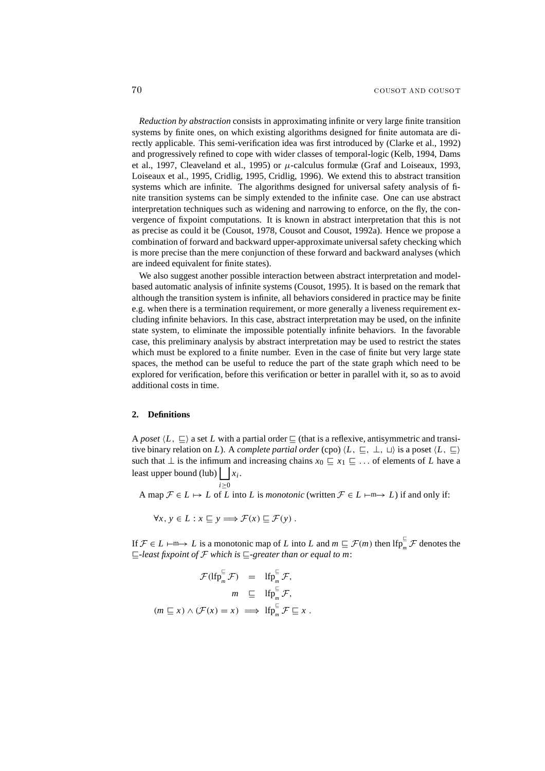*Reduction by abstraction* consists in approximating infinite or very large finite transition systems by finite ones, on which existing algorithms designed for finite automata are directly applicable. This semi-verification idea was first introduced by (Clarke et al., 1992) and progressively refined to cope with wider classes of temporal-logic (Kelb, 1994, Dams et al., 1997, Cleaveland et al., 1995) or  $\mu$ -calculus formulæ (Graf and Loiseaux, 1993, Loiseaux et al., 1995, Cridlig, 1995, Cridlig, 1996). We extend this to abstract transition systems which are infinite. The algorithms designed for universal safety analysis of finite transition systems can be simply extended to the infinite case. One can use abstract interpretation techniques such as widening and narrowing to enforce, on the fly, the convergence of fixpoint computations. It is known in abstract interpretation that this is not as precise as could it be (Cousot, 1978, Cousot and Cousot, 1992a). Hence we propose a combination of forward and backward upper-approximate universal safety checking which is more precise than the mere conjunction of these forward and backward analyses (which are indeed equivalent for finite states).

We also suggest another possible interaction between abstract interpretation and modelbased automatic analysis of infinite systems (Cousot, 1995). It is based on the remark that although the transition system is infinite, all behaviors considered in practice may be finite e.g. when there is a termination requirement, or more generally a liveness requirement excluding infinite behaviors. In this case, abstract interpretation may be used, on the infinite state system, to eliminate the impossible potentially infinite behaviors. In the favorable case, this preliminary analysis by abstract interpretation may be used to restrict the states which must be explored to a finite number. Even in the case of finite but very large state spaces, the method can be useful to reduce the part of the state graph which need to be explored for verification, before this verification or better in parallel with it, so as to avoid additional costs in time.

## **2. Definitions**

A *poset*  $\langle L, \subseteq \rangle$  a set *L* with a partial order  $\subseteq$  (that is a reflexive, antisymmetric and transitive binary relation on *L*). A *complete partial order* (cpo)  $\langle L, \subseteq, \perp, \perp \rangle$  is a poset  $\langle L, \subseteq \rangle$ such that  $\perp$  is the infimum and increasing chains  $x_0 \sqsubseteq x_1 \sqsubseteq \ldots$  of elements of *L* have a A *poset*  $\langle L, \sqsubseteq \rangle$  a set *L* wit<br>tive binary relation on *L*).<br>such that  $\perp$  is the infimum<br>least upper bound (lub) least upper bound (lub)  $\boxed{\phantom{a}} x_i$ .

A map  $\mathcal{F} \in L \mapsto L$  of *L* into *L* is *monotonic* (written  $\mathcal{F} \in L \mapsto L$ ) if and only if:

$$
\forall x, y \in L : x \sqsubseteq y \Longrightarrow \mathcal{F}(x) \sqsubseteq \mathcal{F}(y) .
$$

*i*≥0

If  $\mathcal{F} \in L \longmapsto L$  is a monotonic map of *L* into *L* and  $m \subseteq \mathcal{F}(m)$  then If  $p_m^{\subseteq} \mathcal{F}$  denotes the  $\sqsubseteq$ *-least fixpoint of*  $\mathcal F$  *which is*  $\sqsubseteq$ *-greater than or equal to m:* 

$$
\mathcal{F}(\mathrm{Ifp}_m^{\sqsubseteq} \mathcal{F}) = \mathrm{Ifp}_m^{\sqsubseteq} \mathcal{F},
$$

$$
m \subseteq \mathrm{Ifp}_m^{\sqsubseteq} \mathcal{F},
$$

$$
(m \sqsubseteq x) \land (\mathcal{F}(x) = x) \Longrightarrow \mathrm{Ifp}_m^{\sqsubseteq} \mathcal{F} \sqsubseteq x.
$$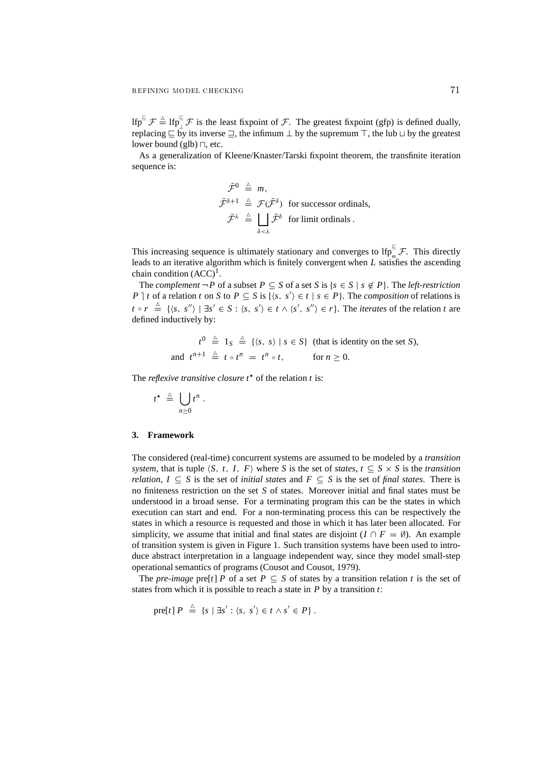If  $p^{\subseteq}$   $\mathcal{F} \triangleq$  If  $p^{\subseteq}$   $\mathcal{F}$  is the least fixpoint of  $\mathcal{F}$ . The greatest fixpoint (gfp) is defined dually, replacing  $\subseteq$  by its inverse  $\supseteq$ , the infimum  $\perp$  by the supremum  $\top$ , the lub  $\sqcup$  by the greatest lower bound (glb)  $\sqcap$ , etc.

As a generalization of Kleene/Knaster/Tarski fixpoint theorem, the transfinite iteration sequence is:

$$
\begin{array}{rcl}\n\bar{\mathcal{F}}^0 & \triangleq & m, \\
\bar{\mathcal{F}}^{\delta+1} & \triangleq & \mathcal{F}(\bar{\mathcal{F}}^{\delta}) \text{ for successor ordinals,} \\
\bar{\mathcal{F}}^{\lambda} & \triangleq & \bigsqcup_{\delta < \lambda} \bar{\mathcal{F}}^{\delta} \text{ for limit ordinals.}\n\end{array}
$$

This increasing sequence is ultimately stationary and converges to  $\text{Ifp}_{m}^{\mathbb{C}} \mathcal{F}$ . This directly leads to an iterative algorithm which is finitely convergent when *L* satisfies the ascending chain condition  $(ACC)^1$ .

The *complement*  $\neg P$  of a subset  $P \subseteq S$  of a set *S* is  $\{s \in S \mid s \notin P\}$ . The *left-restriction P*  $\vert t \vert$  *t* of a relation *t* on *S* to *P*  $\subseteq$  *S* is { $\langle s, s' \rangle \in t \vert s \in P$ }. The *composition* of relations is  $t \circ r \stackrel{\triangle}{=} {\{\langle s, s''\rangle | \exists s' \in S : \langle s, s' \rangle \in t \land \langle s', s'' \rangle \in r\}}$ . The *iterates* of the relation *t* are defined inductively by:

$$
t^0 \triangleq 1_S \triangleq \{ \langle s, s \rangle \mid s \in S \} \text{ (that is identity on the set } S),
$$
  
and 
$$
t^{n+1} \triangleq t \circ t^n = t^n \circ t, \qquad \text{for } n \geq 0.
$$

The *reflexive transitive closure t*? of the relation *t* is:

and 
$$
t^{n+1}
$$
  
reflexive transit  
 $t^{\star} \triangleq \bigcup_{n\geq 0} t^n$ .

## **3. Framework**

The considered (real-time) concurrent systems are assumed to be modeled by a *transition system*, that is tuple  $\langle S, t, I, F \rangle$  where *S* is the set of *states*,  $t \subseteq S \times S$  is the *transition relation,*  $I \subseteq S$  is the set of *initial states* and  $F \subseteq S$  is the set of *final states*. There is no finiteness restriction on the set *S* of states. Moreover initial and final states must be understood in a broad sense. For a terminating program this can be the states in which execution can start and end. For a non-terminating process this can be respectively the states in which a resource is requested and those in which it has later been allocated. For simplicity, we assume that initial and final states are disjoint  $(I \cap F = \emptyset)$ . An example of transition system is given in Figure 1. Such transition systems have been used to introduce abstract interpretation in a language independent way, since they model small-step operational semantics of programs (Cousot and Cousot, 1979).

The *pre-image* pre $[t]$  *P* of a set  $P \subseteq S$  of states by a transition relation *t* is the set of states from which it is possible to reach a state in *P* by a transition *t*:

$$
\text{pre}[t] \; P \; \stackrel{\triangle}{=} \; \{s \mid \exists s' : \langle s, s' \rangle \in t \land s' \in P\} \; .
$$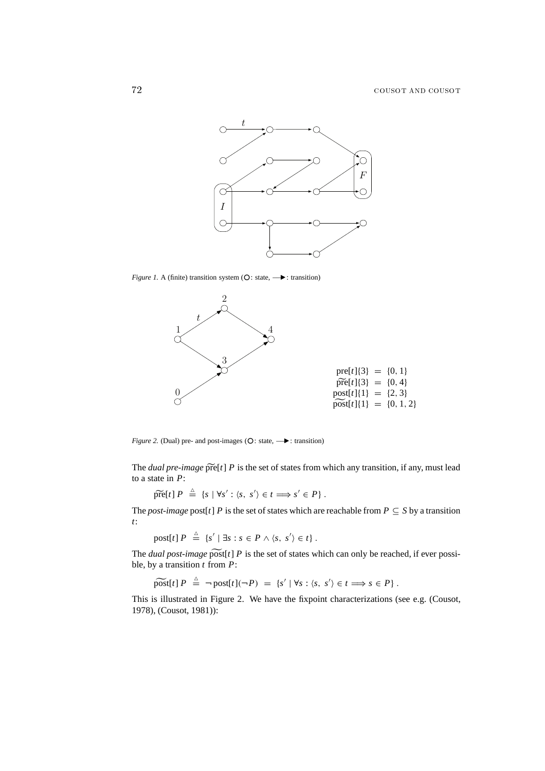

*Figure 1.* A (finite) transition system (○: state, → : transition)



*Figure 2.* (Dual) pre- and post-images (○: state, → : transition)

Figure 2. (Dual) pre- and post-images (O: state,  $\longrightarrow$ : transition)<br>The *dual pre-image*  $\widetilde{\text{pre}}[t]$  *P* is the set of states from which any transition, if any, must lead to a state in *P*:  $\begin{align*}\n \text{and } pre\text{-}ima \\
 \text{at} \text{e in } P: \\
 \widetilde{\text{pre}}[t] \, P \, \triangleq \, \end{align*}$ 

$$
\widetilde{\text{pre}}[t] \, P \stackrel{\triangle}{=} \{ s \mid \forall s' : \langle s, s' \rangle \in t \Longrightarrow s' \in P \} \, .
$$

The *post-image* post[*t*] *P* is the set of states which are reachable from  $P \subseteq S$  by a transition *t*: The *dual post-image* post[ <sup>g</sup> *<sup>t</sup>*] *<sup>P</sup>* is the set of states which can only be reached, if ever possi-

 $\text{post}[t] \, P \stackrel{\triangle}{=} \{s' \mid \exists s : s \in P \land \langle s, s' \rangle \in t\}.$ 

ble, by a transition *t* from *P*:  $\begin{aligned} \textit{wal post-ima} \\ \textit{post}[t] \textit{P} \end{aligned}$ 

$$
\widetilde{\text{post}}[t] P \stackrel{\triangle}{=} \neg \text{post}[t] (\neg P) = \{s' \mid \forall s : \langle s, s' \rangle \in t \Longrightarrow s \in P\}.
$$

This is illustrated in Figure 2. We have the fixpoint characterizations (see e.g. (Cousot, 1978), (Cousot, 1981)):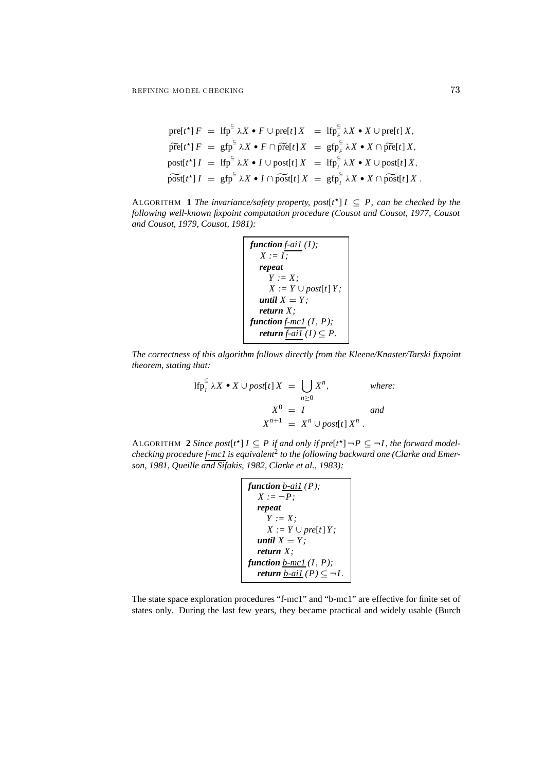$$
\text{pref}[t^{\star}]F = \text{Ifp}^{\subseteq} \lambda X \bullet F \cup \text{pref}[t]X = \text{Ifp}_F^{\subseteq} \lambda X \bullet X \cup \text{pref}[t]X,
$$
  
\n
$$
\text{pref}[t^{\star}]F = \text{gfp}^{\subseteq} \lambda X \bullet F \cap \text{pref}[t]X = \text{gfp}_F^{\subseteq} \lambda X \bullet X \cap \text{pref}[t]X,
$$
  
\n
$$
\text{post}[t^{\star}]I = \text{Ifp}^{\subseteq} \lambda X \bullet I \cup \text{post}[t]X = \text{Ifp}_I^{\subseteq} \lambda X \bullet X \cup \text{post}[t]X,
$$
  
\n
$$
\text{post}[t^{\star}]I = \text{gfp}^{\subseteq} \lambda X \bullet I \cap \text{post}[t]X = \text{gfp}_I^{\subseteq} \lambda X \bullet X \cap \text{post}[t]X.
$$

ALGORITHM 1 *The invariance/safety property, post*[ $t^*$ ]  $I \subseteq P$ *, can be checked by the following well-known fixpoint computation procedure (Cousot and Cousot, 1977, Cousot and Cousot, 1979, Cousot, 1981):*

```
function f-ai1 (I);
  X := I;
  repeat
      Y := X;
      X := Y \cup post[t] Y;until X = Y;
   return X;
function f-mc1 (I, P);
   return \overline{f-ai I (I) \subseteq P.
```
*The correctness of this algorithm follows directly from the Kleene/Knaster/Tarski fixpoint theorem, stating that: I* his algorithm follows directly<br>*I*:<br>*I*  $\lambda X \cdot X \cup post[t] X = \bigcup$ 

$$
\text{Ifp}_I^{\subseteq} \lambda X \bullet X \cup post[t] \ X \ = \ \bigcup_{n \geq 0} X^n, \qquad \text{where:}
$$
\n
$$
X^0 \ = \ I \qquad \text{and}
$$
\n
$$
X^{n+1} \ = \ X^n \cup post[t] \ X^n \ .
$$

ALGORITHM 2 *Since post*[ $t^*$ ]  $I \subseteq P$  *if and only if pre*[ $t^*$ ]  $\neg P \subseteq \neg I$ *, the forward modelchecking procedure f-mc1 is equivalent*<sup>2</sup> *to the following backward one (Clarke and Emerson, 1981, Queille and Sifakis, 1982, Clarke et al., 1983):*

```
function b-ai1 (P);
   X := \neg P;
   repeat
      Y := X;
      X := Y \cup pre[t] Y;
   until X = Y;
   return X;
function b-mc1 (I, P);
   return \underline{b \text{-} a i I} (P) \subseteq \neg I.
```
The state space exploration procedures "f-mc1" and "b-mc1" are effective for finite set of states only. During the last few years, they became practical and widely usable (Burch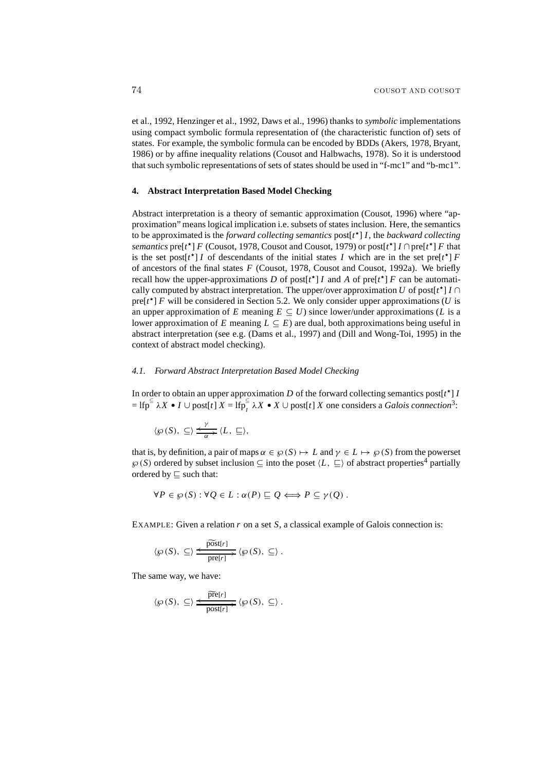et al., 1992, Henzinger et al., 1992, Daws et al., 1996) thanks to *symbolic* implementations using compact symbolic formula representation of (the characteristic function of) sets of states. For example, the symbolic formula can be encoded by BDDs (Akers, 1978, Bryant, 1986) or by affine inequality relations (Cousot and Halbwachs, 1978). So it is understood that such symbolic representations of sets of states should be used in "f-mc1" and "b-mc1".

#### **4. Abstract Interpretation Based Model Checking**

Abstract interpretation is a theory of semantic approximation (Cousot, 1996) where "approximation" means logical implication i.e. subsets of states inclusion. Here, the semantics to be approximated is the *forward collecting semantics* post[*t* ?] *I*, the *backward collecting semantics*  $\text{pre}[t^{\star}]$  *F* (Cousot, 1978, Cousot and Cousot, 1979) or  $\text{post}[t^{\star}]$  *I* ∩  $\text{pre}[t^{\star}]$  *F* that is the set post $[t^{\star}]$  *I* of descendants of the initial states *I* which are in the set pre $[t^{\star}]$  *F* of ancestors of the final states *F* (Cousot, 1978, Cousot and Cousot, 1992a). We briefly recall how the upper-approximations *D* of post[ $t^{\star}$ ] *I* and *A* of pre[ $t^{\star}$ ] *F* can be automatically computed by abstract interpretation. The upper/over approximation *U* of post[ $t^*$ ]  $I \cap$  $\text{pre}[t^{\star}]$  *F* will be considered in Section 5.2. We only consider upper approximations (*U* is an upper approximation of *E* meaning  $E \subseteq U$ ) since lower/under approximations (*L* is a lower approximation of *E* meaning  $L \subseteq E$ ) are dual, both approximations being useful in abstract interpretation (see e.g. (Dams et al., 1997) and (Dill and Wong-Toi, 1995) in the context of abstract model checking).

### *4.1. Forward Abstract Interpretation Based Model Checking*

In order to obtain an upper approximation  $D$  of the forward collecting semantics post[ $t^*$ ]  $I$ In order to obtain an upper approximation *D* or the forward collecting semantics post[*t*<sup>-</sup>] *I*<br>= lfp<sup> $\subseteq$ </sup>  $\lambda X \cdot I \cup$  post[*t*]  $X =$  lfp $\subseteq$   $\lambda X \cdot X \cup$  post[*t*] *X* one considers a *Galois connection*<sup>3</sup>:

$$
\langle \wp(S), \subseteq \rangle \xrightarrow[\alpha]{\gamma} \langle L, \subseteq \rangle,
$$

that is, by definition, a pair of maps  $\alpha \in \mathcal{P}(S) \mapsto L$  and  $\gamma \in L \mapsto \mathcal{P}(S)$  from the powerset  $\wp(S)$  ordered by subset inclusion  $\subseteq$  into the poset  $\langle L, \sqsubseteq \rangle$  of abstract properties<sup>4</sup> partially ordered by  $\sqsubseteq$  such that:

$$
\forall P \in \wp(S) : \forall Q \in L : \alpha(P) \sqsubseteq Q \Longleftrightarrow P \subseteq \gamma(Q) .
$$

EXAMPLE: Given a relation *r* on a set *S*, a classical example of Galois connection is:<br> $\widetilde{\text{post}}[r]$ 

$$
\langle \wp(S), \subseteq \rangle \xrightarrow{\widetilde{\mathrm{post}}[r]} \langle \wp(S), \subseteq \rangle.
$$

The same way, we have:

$$
\langle \wp(S), \subseteq \rangle \xrightarrow{\widetilde{pr}\in [r]} \langle \wp(S), \subseteq \rangle.
$$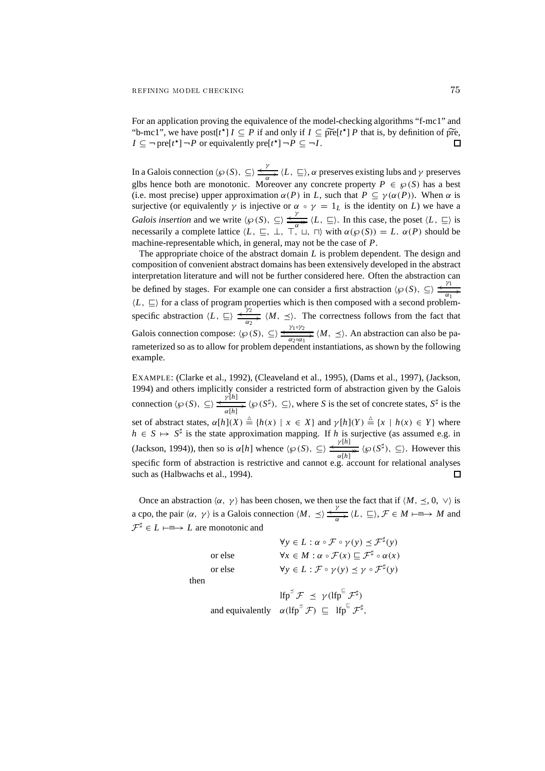For an application proving the equivalence of the model-checking algorithms "f-mc1" and "b-mc1", we have post[*t*<sup>\*</sup>] *I* ⊆ *P* if and only if *I* ⊆  $\widetilde{\text{pref}}$  *t*<sup>\*</sup>] *P* that is, by definition of pre, For an application proving the equivalence of the model-checking algorithms "f-mc1" and  $I \subseteq \neg \text{pre}[t^{\star}] \neg P$  or equivalently  $\text{pre}[t^{\star}] \neg P \subseteq \neg I$ .  $\Box$ 

In a Galois connection  $\langle \wp(S), \subseteq \rangle \xrightarrow{\gamma} \langle L, \subseteq \rangle$ ,  $\alpha$  preserves existing lubs and  $\gamma$  preserves glbs hence both are monotonic. Moreover any concrete property  $P \in \mathcal{P}(S)$  has a best (i.e. most precise) upper approximation  $\alpha(P)$  in *L*, such that  $P \subseteq \gamma(\alpha(P))$ . When  $\alpha$  is surjective (or equivalently  $\gamma$  is injective or  $\alpha \circ \gamma = 1_L$  is the identity on *L*) we have a *Galois insertion* and we write  $\langle \wp(S), \subseteq \rangle \frac{\langle \succ \rangle}{\langle \alpha \rangle}$  $\frac{\gamma}{\Rightarrow}$   $\langle L, \underline{\square} \rangle$ . In this case, the poset  $\langle L, \underline{\square} \rangle$  is necessarily a complete lattice  $\langle L, \subseteq, \perp, \perp, \perp, \perp \rangle$  with  $\alpha(\wp(S)) = L$ .  $\alpha(P)$  should be machine-representable which, in general, may not be the case of *P*.

The appropriate choice of the abstract domain *L* is problem dependent. The design and composition of convenient abstract domains has been extensively developed in the abstract interpretation literature and will not be further considered here. Often the abstraction can be defined by stages. For example one can consider a first abstraction  $\langle \wp(S), \subseteq \rangle \frac{\gamma_1}{\alpha_1}$  $\langle L, \subseteq \rangle$  for a class of program properties which is then composed with a second problemspecific abstraction  $\langle L, \underline{\square} \rangle \xrightarrow[\alpha_2]{\gamma_2} \langle M, \underline{\preceq} \rangle$ . The correctness follows from the fact that Galois connection compose:  $\langle \wp(S), \subseteq \rangle \frac{\langle \succ_{I_1 \circ \gamma_2}}{\alpha_2 \circ \alpha_1}$  $\frac{\gamma_1 \circ \gamma_2}{\longrightarrow} \langle M, \preceq \rangle$ . An abstraction can also be parameterized so as to allow for problem dependent instantiations, as shown by the following example.

EXAMPLE: (Clarke et al., 1992), (Cleaveland et al., 1995), (Dams et al., 1997), (Jackson, 1994) and others implicitly consider a restricted form of abstraction given by the Galois  $\frac{\gamma[h]}{\gamma[h]}$   $\langle \wp(S^{\sharp}), \subseteq \rangle$ , where *S* is the set of concrete states,  $S^{\sharp}$  is the connection  $\langle \wp(S), \subseteq \rangle \frac{\langle \wp(n) \rangle}{\alpha[h]}$ set of abstract states,  $\alpha[h](X) \triangleq \{h(x) \mid x \in X\}$  and  $\gamma[h](Y) \triangleq \{x \mid h(x) \in Y\}$  where  $h \in S \mapsto S^{\sharp}$  is the state approximation mapping. If *h* is surjective (as assumed e.g. in  $\frac{\gamma[h]}{1-\gamma}$   $\langle \wp(S^{\sharp}), \subseteq \rangle$ . However this (Jackson, 1994)), then so is  $\alpha[h]$  whence  $\langle \wp(S), \subseteq \rangle \frac{\langle \gamma[h] \rangle}{\alpha[h]}$ specific form of abstraction is restrictive and cannot e.g. account for relational analyses such as (Halbwachs et al., 1994).  $\Box$ 

Once an abstraction  $\langle \alpha, \gamma \rangle$  has been chosen, we then use the fact that if  $\langle M, \preceq, 0, \vee \rangle$  is a cpo, the pair  $\langle \alpha, \gamma \rangle$  is a Galois connection  $\langle M, \preceq \rangle \xrightarrow[\alpha]{\gamma} \langle L, \sqsubseteq \rangle$ ,  $\mathcal{F} \in M \mapsto M$  and  $\mathcal{F}^{\sharp} \in L \longmapsto L$  are monotonic and

|         | $\forall y \in L : \alpha \circ \mathcal{F} \circ \gamma(y) \preceq \mathcal{F}^{\sharp}(y)$     |
|---------|--------------------------------------------------------------------------------------------------|
| or else | $\forall x \in M : \alpha \circ \mathcal{F}(x) \sqsubseteq \mathcal{F}^{\sharp} \circ \alpha(x)$ |
| or else | $\forall y \in L : \mathcal{F} \circ \gamma(y) \preceq \gamma \circ \mathcal{F}^{\sharp}(y)$     |
|         |                                                                                                  |

 $\mathrm{lfp}^{\leq} \mathcal{F} \preceq \gamma (\mathrm{lfp}^{\sqsubseteq} \mathcal{F}^{\sharp})$ and equivalently  $\alpha$ (lfp<sup> $\leq$ </sup>  $\mathcal{F}$ )  $\subseteq$  lfp<sup> $\subseteq$ </sup>  $\mathcal{F}^{\sharp}$ ,

then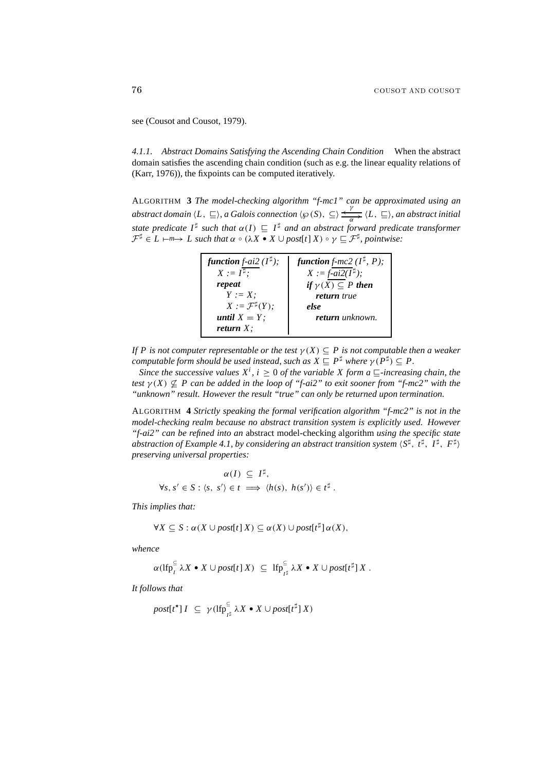see (Cousot and Cousot, 1979).

*4.1.1. Abstract Domains Satisfying the Ascending Chain Condition* When the abstract domain satisfies the ascending chain condition (such as e.g. the linear equality relations of (Karr, 1976)), the fixpoints can be computed iteratively.

ALGORITHM **3** *The model-checking algorithm "f-mc1" can be approximated using an*  $a$ bstract domain  $\langle L, \subseteq \rangle$ , a Galois connection  $\langle \wp(S), \subseteq \rangle \xrightarrow{\sim} \langle L, \subseteq \rangle$ , an abstract initial state predicate  $I^{\sharp}$  such that  $\alpha(I) \sqsubseteq I^{\sharp}$  and an abstract forward predicate transformer  $\mathcal{F}^{\sharp} \in L \mapsto L$  such that  $\alpha \circ (\lambda X \bullet X \cup post[t] X) \circ \gamma \sqsubseteq \mathcal{F}^{\sharp}$ , pointwise:

| <b>function</b> f-ai2 $(I^{\sharp})$ ; | function f-mc2 $(I^{\sharp}, P)$ ; |
|----------------------------------------|------------------------------------|
| $X := I^{\sharp}$ :                    | $X := f - ai2(I^{\sharp})$ ;       |
| repeat                                 | if $\gamma(X) \subseteq P$ then    |
| $Y := X$ :                             | return true                        |
| $X:=\mathcal{F}^\sharp(Y);$            | else                               |
| until $X = Y$ ;                        | <b>return</b> unknown.             |
| return $X$ :                           |                                    |

*If P is not computer representable or the test*  $\gamma(X) \subseteq P$  *is not computable then a weaker computable form should be used instead, such as*  $X \subseteq P^{\sharp}$  *where*  $\gamma(P^{\sharp}) \subseteq P$ .

*Since the successive values*  $X^i$ ,  $i \geq 0$  *of the variable* X *form a*  $\subseteq$ *-increasing chain, the test*  $\gamma$  (*X*)  $\nsubseteq$  *P* can be added in the loop of "f-ai2" to exit sooner from "f-mc2" with the *"unknown" result. However the result "true" can only be returned upon termination.*

ALGORITHM **4** *Strictly speaking the formal verification algorithm "f-mc2" is not in the model-checking realm because no abstract transition system is explicitly used. However "f-ai2" can be refined into an* abstract model-checking algorithm *using the specific state abstraction of Example 4.1, by considering an abstract transition system*  $\langle S^\sharp, t^\sharp, I^\sharp, F^\sharp \rangle$ *preserving universal properties:*

$$
\alpha(I) \subseteq I^{\sharp},
$$
  
\n
$$
\forall s, s' \in S : \langle s, s' \rangle \in t \implies \langle h(s), h(s') \rangle \in t^{\sharp}.
$$

*This implies that:*

$$
\forall X \subseteq S : \alpha(X \cup post[t] \, X) \subseteq \alpha(X) \cup post[t^{\sharp}] \, \alpha(X),
$$

*whence*

$$
\alpha(\operatorname{lfp}^{\subseteq}_I \lambda X \bullet X \cup post[t] X) \subseteq \operatorname{lfp}^{\subseteq}_{I^{\sharp}} \lambda X \bullet X \cup post[t^{\sharp}] X.
$$

*It follows that*

$$
post[t^{\star}] I \subseteq \gamma(\mathrm{lfp}_{t^{\sharp}}^{\subseteq} \lambda X \bullet X \cup post[t^{\sharp}] X)
$$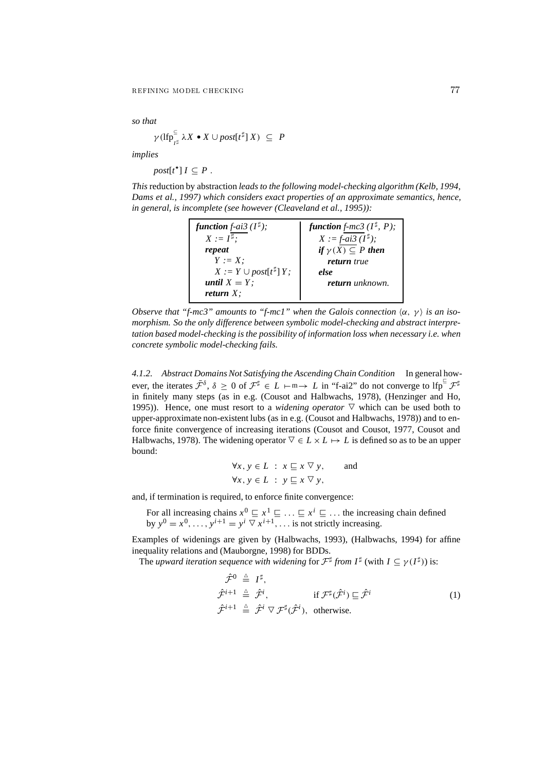*so that*

$$
\gamma(\mathrm{lfp}_{t^{\sharp}}^{\subseteq}\lambda X\bullet X\cup post[t^{\sharp}]X)\subseteq P
$$

*implies*

 $post[t^{\star}] I \subseteq P$ .

*This* reduction by abstraction *leads to the following model-checking algorithm (Kelb, 1994, Dams et al., 1997) which considers exact properties of an approximate semantics, hence, in general, is incomplete (see however (Cleaveland et al., 1995)):*

| <b>function</b> f-ai3 $(I^{\sharp})$ ; | function f-mc3 $(I^{\sharp}, P)$ ; |
|----------------------------------------|------------------------------------|
| $X := I^{\sharp}$ :                    | $X := f$ -ai3 $(I^{\sharp})$ ;     |
| repeat                                 | if $\gamma(X) \subseteq P$ then    |
| $Y := X$ :                             | return true                        |
| $X := Y \cup post[t^{\sharp}] Y;$      | else                               |
| until $X = Y$ ;                        | <b>return</b> unknown.             |
| return $X$ :                           |                                    |

*Observe that "f-mc3" amounts to "f-mc1" when the Galois connection*  $\langle \alpha, \gamma \rangle$  *is an isomorphism. So the only difference between symbolic model-checking and abstract interpretation based model-checking is the possibility of information loss when necessary i.e. when concrete symbolic model-checking fails.*

*4.1.2. Abstract Domains Not Satisfying the Ascending Chain Condition* In general however, the iterates  $\bar{\mathcal{F}}^{\delta}$ ,  $\delta \geq 0$  of  $\mathcal{F}^{\sharp} \in L \mapsto L$  in "f-ai2" do not converge to Ifp<sup> $\Xi$ </sup>  $\mathcal{F}^{\sharp}$ in finitely many steps (as in e.g. (Cousot and Halbwachs, 1978), (Henzinger and Ho, 1995)). Hence, one must resort to a *widening operator*  $\nabla$  which can be used both to upper-approximate non-existent lubs (as in e.g. (Cousot and Halbwachs, 1978)) and to enforce finite convergence of increasing iterations (Cousot and Cousot, 1977, Cousot and Halbwachs, 1978). The widening operator  $\nabla \in L \times L \mapsto L$  is defined so as to be an upper bound:

$$
\forall x, y \in L : x \sqsubseteq x \triangledown y, \text{ and}
$$
  

$$
\forall x, y \in L : y \sqsubseteq x \triangledown y,
$$

and, if termination is required, to enforce finite convergence:

For all increasing chains  $x^0 \sqsubseteq x^1 \sqsubseteq \ldots \sqsubseteq x^i \sqsubseteq \ldots$  the increasing chain defined by  $y^0 = x^0, \ldots, y^{i+1} = y^i \nabla x^{i+1}, \ldots$  is not strictly increasing.

Examples of widenings are given by (Halbwachs, 1993), (Halbwachs, 1994) for affine inequality relations and (Mauborgne, 1998) for BDDs.

The *upward iteration sequence with widening* for  $\mathcal{F}^{\sharp}$  *from*  $I^{\sharp}$  (with  $I \subseteq \gamma(I^{\sharp})$ ) is:

$$
\hat{\mathcal{F}}^0 \triangleq I^{\sharp}, \n\hat{\mathcal{F}}^{i+1} \triangleq \hat{\mathcal{F}}^i, \qquad \text{if } \mathcal{F}^{\sharp}(\hat{\mathcal{F}}^i) \sqsubseteq \hat{\mathcal{F}}^i \n\hat{\mathcal{F}}^{i+1} \triangleq \hat{\mathcal{F}}^i \triangledown \mathcal{F}^{\sharp}(\hat{\mathcal{F}}^i), \text{ otherwise.}
$$
\n(1)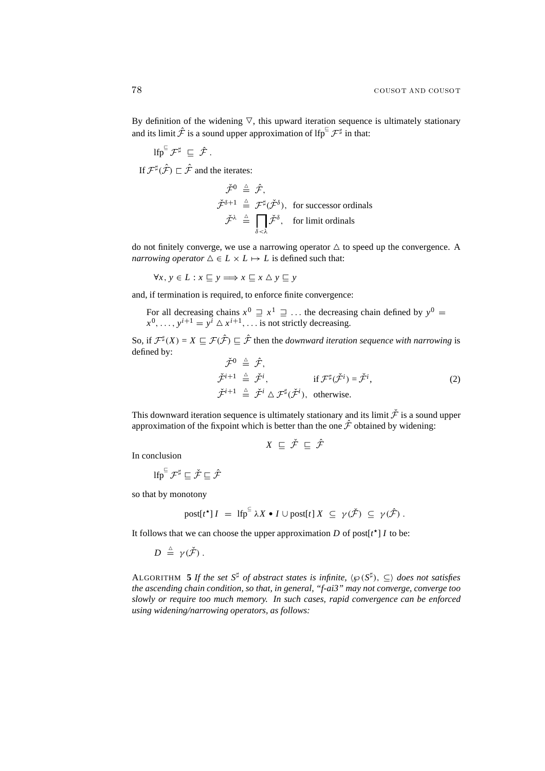$$
\mathrm{lfp}^{\sqsubseteq}\,\mathcal{F}^{\sharp}\ \sqsubseteq\ \hat{\mathcal{F}}\,.
$$

If  $\mathcal{F}^{\sharp}(\hat{\mathcal{F}}) \subset \hat{\mathcal{F}}$  and the iterates:

$$
\check{\mathcal{F}}^0 \triangleq \hat{\mathcal{F}},
$$
\n
$$
\check{\mathcal{F}}^{\delta+1} \triangleq \mathcal{F}^{\sharp}(\check{\mathcal{F}}^{\delta}), \text{ for successor ordinals}
$$
\n
$$
\check{\mathcal{F}}^{\lambda} \triangleq \prod_{\delta < \lambda} \check{\mathcal{F}}^{\delta}, \text{ for limit ordinals}
$$

do not finitely converge, we use a narrowing operator  $\triangle$  to speed up the convergence. A *narrowing operator*  $\Delta \in L \times L \mapsto L$  is defined such that:

$$
\forall x, y \in L : x \sqsubseteq y \Longrightarrow x \sqsubseteq x \triangle y \sqsubseteq y
$$

and, if termination is required, to enforce finite convergence:

For all decreasing chains  $x^0 \supseteq x^1 \supseteq ...$  the decreasing chain defined by  $y^0 =$  $x^0, \ldots, y^{i+1} = y^i \triangle x^{i+1}, \ldots$  is not strictly decreasing.

So, if  $\mathcal{F}^{\sharp}(X) = X \sqsubseteq \mathcal{F}(\hat{\mathcal{F}}) \sqsubseteq \hat{\mathcal{F}}$  then the *downward iteration sequence with narrowing* is defined by:

$$
\check{\mathcal{F}}^0 \triangleq \hat{\mathcal{F}},
$$
\n
$$
\check{\mathcal{F}}^{i+1} \triangleq \check{\mathcal{F}}^i,
$$
\nif  $\mathcal{F}^\sharp(\check{\mathcal{F}}^i) = \check{\mathcal{F}}^i,$ \n
$$
\check{\mathcal{F}}^{i+1} \triangleq \check{\mathcal{F}}^i \triangle \mathcal{F}^\sharp(\check{\mathcal{F}}^i), \text{ otherwise.}
$$
\n(2)

This downward iteration sequence is ultimately stationary and its limit  $\check{\mathcal{F}}$  is a sound upper approximation of the fixpoint which is better than the one  $\hat{\mathcal{F}}$  obtained by widening:

$$
X\ \sqsubseteq\ \check{\mathcal{F}}\ \sqsubseteq\ \hat{\mathcal{F}}
$$

In conclusion

lfp<sup> $\subseteq$ </sup>  $\mathcal{F}^{\sharp} \sqsubset \check{\mathcal{F}} \sqsubset \hat{\mathcal{F}}$ 

so that by monotony

post[
$$
t^*
$$
]  $I = \text{Ifp}^{\subseteq} \lambda X \cdot I \cup \text{post}[t] X \subseteq \gamma(\check{\mathcal{F}}) \subseteq \gamma(\hat{\mathcal{F}})$ .

It follows that we can choose the upper approximation  $D$  of post $[t^{\star}]$  *I* to be:

 $D \ \triangleq \ \gamma(\check{\mathcal{F}}) \ .$ 

ALGORITHM **5** *If the set*  $S^{\sharp}$  *of abstract states is infinite,*  $\langle \wp(S^{\sharp}), \subseteq \rangle$  *does not satisfies the ascending chain condition, so that, in general, "f-ai3" may not converge, converge too slowly or require too much memory. In such cases, rapid convergence can be enforced using widening/narrowing operators, as follows:*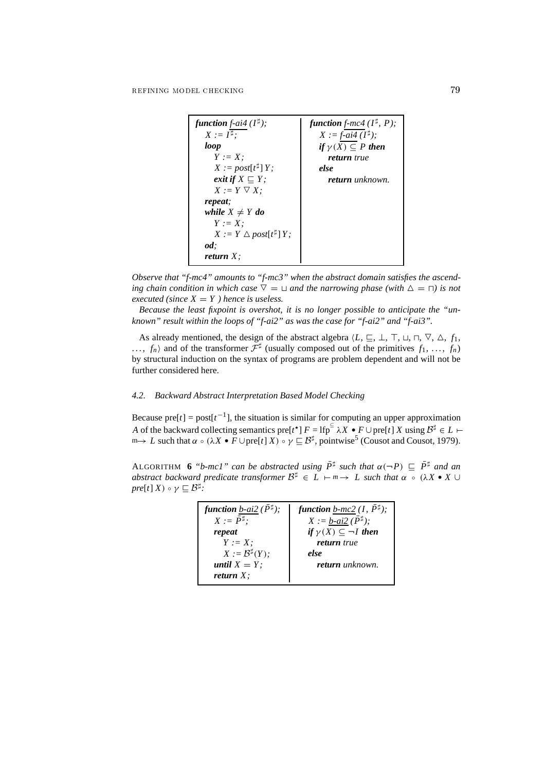| function $f$ -ai4 ( $I^{\sharp}$ );    | function f-mc4 $(I^{\sharp}, P)$ ; |
|----------------------------------------|------------------------------------|
| $X := I^{\sharp}$ :                    | $X := f$ -ai4 $(I^{\sharp})$ ;     |
| loop                                   | if $\gamma(X) \subseteq P$ then    |
| $Y := X$ :                             | return true                        |
| $X := post[t^{\sharp}] Y;$             | else                               |
| <i>exit if</i> $X \subseteq Y$ ;       | <b>return</b> unknown.             |
| $X := Y \nabla X$ :                    |                                    |
| repeat;                                |                                    |
| while $X \neq Y$ do                    |                                    |
| $Y := X$ :                             |                                    |
| $X := Y \triangle post[t^{\sharp}] Y;$ |                                    |
| od:                                    |                                    |
| return $X$ :                           |                                    |

*Observe that "f-mc4" amounts to "f-mc3" when the abstract domain satisfies the ascending chain condition in which case*  $\nabla = \Box$  *and the narrowing phase (with*  $\Delta = \Box$ ) *is not executed (since*  $X = Y$ ) hence is useless.

*Because the least fixpoint is overshot, it is no longer possible to anticipate the "unknown" result within the loops of "f-ai2" as was the case for "f-ai2" and "f-ai3".*

As already mentioned, the design of the abstract algebra  $\langle L, \sqsubseteq, \perp, \top, \sqcup, \sqcap, \vee, \vartriangle, f_1, \rangle$  $\ldots$ ,  $f_n$  and of the transformer  $\mathcal{F}^{\sharp}$  (usually composed out of the primitives  $f_1, \ldots, f_n$ ) by structural induction on the syntax of programs are problem dependent and will not be further considered here.

## *4.2. Backward Abstract Interpretation Based Model Checking*

Because  $\text{pre}[t] = \text{post}[t^{-1}]$ , the situation is similar for computing an upper approximation *A* of the backward collecting semantics pre $[t^*]$   $F = \text{Ifp}^{\subseteq} \lambda X \cdot F \cup \text{pre}[t] X$  using  $\mathcal{B}^{\sharp} \in L \mapsto A$  $m \rightarrow L$  such that  $\alpha \circ (\lambda X \bullet F \cup \text{pre}[t] X) \circ \gamma \sqsubseteq \mathcal{B}^{\sharp}$ , pointwise<sup>5</sup> (Cousot and Cousot, 1979).

ALGORITHM **6** *"b-mc1" can be abstracted using*  $\overline{P}^{\sharp}$  *such that*  $\alpha(-P) \subseteq \overline{P}^{\sharp}$  *and an abstract backward predicate transformer*  $B^{\sharp} \in L \mapsto m \rightarrow L$  *such that*  $\alpha \circ (\lambda X \bullet X \cup$  $pre[t] X$ ) ∘  $\gamma \sqsubseteq \mathcal{B}^{\sharp}$ .

| function <u>b-ai2</u> ( $\bar{P}^{\sharp}$ ); | function b-mc2 (1, $P^{\sharp}$ );    |
|-----------------------------------------------|---------------------------------------|
| $X := \bar{P}^{\sharp}$ :                     | $X := b$ -ai2 ( $\bar{P}^{\sharp}$ ); |
| repeat                                        | if $\gamma(X) \subseteq \neg I$ then  |
| $Y := X$ :                                    | return true                           |
| $X := \mathcal{B}^{\sharp}(Y);$               | else                                  |
| <i>until</i> $X = Y$ ;                        | <b>return</b> unknown.                |
| return $X$ :                                  |                                       |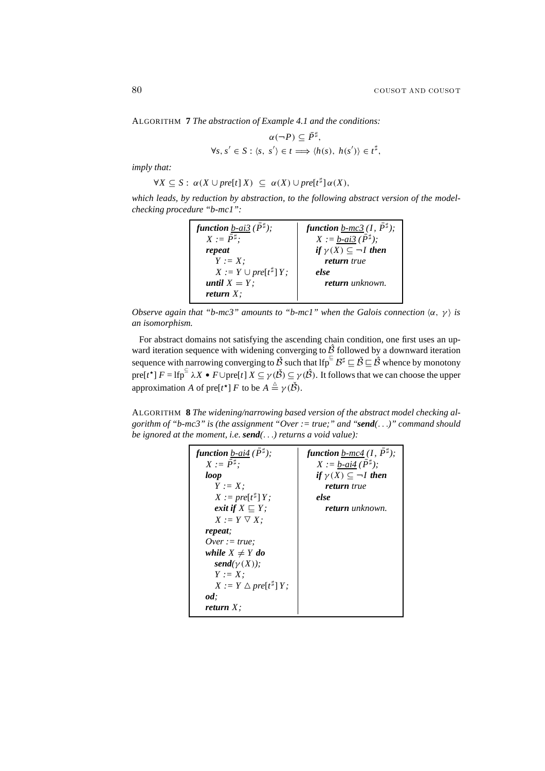ALGORITHM **7** *The abstraction of Example 4.1 and the conditions:*

$$
\alpha(\neg P) \subseteq \overline{P}^{\sharp},
$$
  

$$
\forall s, s' \in S : \langle s, s' \rangle \in t \Longrightarrow \langle h(s), h(s') \rangle \in t^{\sharp},
$$

*imply that:*

$$
\forall X \subseteq S : \alpha(X \cup pre[t] \, X) \subseteq \alpha(X) \cup pre[t^{\sharp}] \, \alpha(X),
$$

*which leads, by reduction by abstraction, to the following abstract version of the modelchecking procedure "b-mc1":*

| <b>function</b> $b$ -ai3 ( $\bar{P}^{\sharp}$ ); | function b-mc3 (1, $\bar{P}^{\sharp}$ ); |
|--------------------------------------------------|------------------------------------------|
| $X := \bar{P}^{\sharp}$ :                        | $X := b$ -ai3 ( $\bar{P}^{\sharp}$ );    |
| repeat                                           | if $\gamma(X) \subseteq \neg I$ then     |
| $Y := X$ :                                       | return true                              |
| $X := Y \cup pre[t^{\sharp}] Y;$                 | else                                     |
| until $X = Y$ ;                                  | <b>return</b> unknown.                   |
| return $X$ :                                     |                                          |

*Observe again that "b-mc3" amounts to "b-mc1" when the Galois connection*  $\langle \alpha, \gamma \rangle$  *is an isomorphism.*

For abstract domains not satisfying the ascending chain condition, one first uses an upward iteration sequence with widening converging to  $\hat{\mathcal{B}}$  followed by a downward iteration sequence with narrowing converging to  $\check{B}$  such that lfp<sup> $\Xi$ </sup>  $B^{\sharp} \sqsubseteq \check{B} \sqsubseteq \check{B}$  whence by monotony bequence with narrowing converging to *b* such that if  $p^* \sqsubseteq p \sqsubseteq p$  whence by monotony<br>pre[*t*\*]  $F = \text{If} p^{\subseteq} \lambda X \bullet F \cup \text{pref}[t]$   $X \subseteq \gamma(\check{\beta}) \subseteq \gamma(\hat{\beta})$ . It follows that we can choose the upper approximation *A* of pre[*t*<sup>\*</sup>] *F* to be  $A \stackrel{\triangle}{=} \gamma(\check{B})$ .

ALGORITHM **8** *The widening/narrowing based version of the abstract model checking algorithm of "b-mc3" is (the assignment "Over := true;" and "send(*...*)" command should be ignored at the moment, i.e. send(*...*) returns a void value):*

| function <u>b-ai4</u> ( $\bar{P}^{\sharp}$ ); | function b-mc4 $(I, \bar{P}^{\sharp})$ ; |
|-----------------------------------------------|------------------------------------------|
| $X := \bar{P}^{\sharp}$ :                     | $X := b$ -ai4 ( $\bar{P}^{\sharp}$ );    |
| loop                                          | if $\gamma(X) \subseteq \neg I$ then     |
| $Y := X$ :                                    | <b>return</b> true                       |
| $X := pre[t^{\sharp}] Y;$                     | else                                     |
| exit if $X \sqsubset Y$ :                     | <b>return</b> unknown.                   |
| $X := Y \nabla X$ :                           |                                          |
| repeat;                                       |                                          |
| $Over := true;$                               |                                          |
| while $X \neq Y$ do                           |                                          |
| send $(\gamma(X))$ ;                          |                                          |
| $Y := X$ :                                    |                                          |
| $X := Y \triangle pre[t^{\sharp}] Y;$         |                                          |
| od:                                           |                                          |
| return $X$ :                                  |                                          |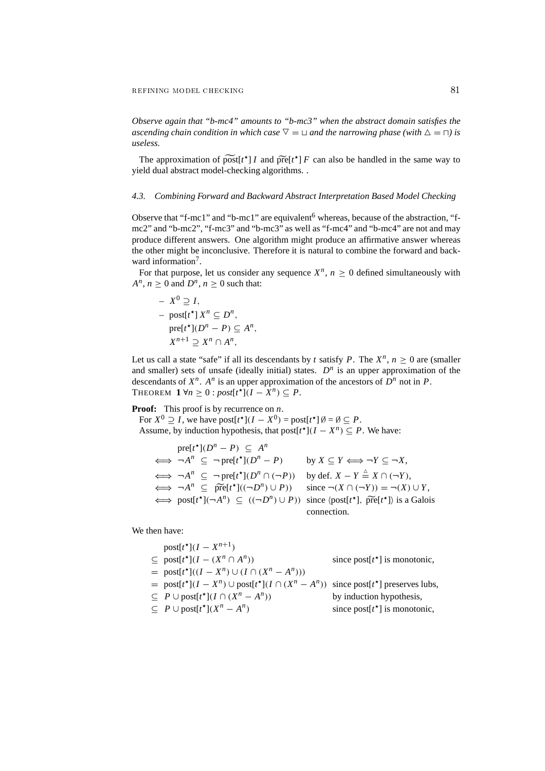*Observe again that "b-mc4" amounts to "b-mc3" when the abstract domain satisfies the ascending chain condition in which case*  $\nabla = \sqcup$  *and the narrowing phase (with*  $\Delta = \sqcap$ ) *is useless.* Exerve again that  $b$ -mc4 amounts to  $b$ -mc5 when the abstract aomain satisfies the cending chain condition in which case  $\nabla = \Box$  and the narrowing phase (with  $\Delta = \Box$ ) is reless.<br>The approximation of  $\widetilde{\text{post}}[t^{\star}] I$ 

yield dual abstract model-checking algorithms. .

## *4.3. Combining Forward and Backward Abstract Interpretation Based Model Checking*

Observe that "f-mc1" and "b-mc1" are equivalent<sup>6</sup> whereas, because of the abstraction, "fmc2" and "b-mc2", "f-mc3" and "b-mc3" as well as "f-mc4" and "b-mc4" are not and may produce different answers. One algorithm might produce an affirmative answer whereas the other might be inconclusive. Therefore it is natural to combine the forward and backward information<sup>7</sup>.

For that purpose, let us consider any sequence  $X^n$ ,  $n > 0$  defined simultaneously with  $A^n$ ,  $n \geq 0$  and  $D^n$ ,  $n \geq 0$  such that:

$$
- X^{0} \supseteq I,
$$
  
\n
$$
- \text{post}[t^{*}] X^{n} \subseteq D^{n},
$$
  
\n
$$
\text{pre}[t^{*}](D^{n} - P) \subseteq A^{n},
$$
  
\n
$$
X^{n+1} \supseteq X^{n} \cap A^{n},
$$

Let us call a state "safe" if all its descendants by *t* satisfy *P*. The  $X^n$ ,  $n \ge 0$  are (smaller and smaller) sets of unsafe (ideally initial) states. *D<sup>n</sup>* is an upper approximation of the descendants of  $X^n$ .  $A^n$  is an upper approximation of the ancestors of  $D^n$  not in  $P$ . THEOREM  $1 \forall n \geq 0 : post[t^{\star}](I - X^n) \subseteq P$ .

## **Proof:** This proof is by recurrence on *n*.

For  $X^0 \supseteq I$ , we have  $\text{post}[t^*](I - X^0) = \text{post}[t^*] \emptyset = \emptyset \subseteq P$ . Assume, by induction hypothesis, that  $post[t<sup>*</sup>](I - X<sup>n</sup>) \subseteq P$ . We have:

 $pre[t^{\star}](D^n - P) \subseteq A^n$  $\iff \neg A^n \subseteq \neg \text{pre}[t^*](D^n - P)$  by  $X \subseteq Y \iff \neg Y \subseteq \neg X$ ,  $\iff \neg A^n \subseteq \neg \text{pre}[t^*](D^n \cap (\neg P)) \text{ by def. } X - Y \stackrel{\triangle}{=} X \cap (\neg Y),$  $\iff \neg A^n \subseteq \neg \text{pref}(t^*)(D^n - P)$  by  $X \subseteq Y \iff \neg Y \subseteq \neg X$ ,<br>  $\iff \neg A^n \subseteq \neg \text{pref}(t^*](D^n \cap (\neg P))$  by def.  $X - Y \stackrel{\triangle}{=} X \cap (\neg Y)$ ,<br>  $\iff \neg A^n \subseteq \text{pref}(t^*)((\neg D^n) \cup P))$  since  $\neg(X \cap (\neg Y)) = \neg(X) \cup Y$ ,  $\iff$  post[ $t^{\star}$ ]( $\neg A^n$ )  $\subseteq$  ( $(\neg D^n) \cup P$ )) since  $\langle$ post[ $t^{\star}$ ],  $\widetilde{\text{pre}}[t^{\star}]$ } is a Galois  $Y \triangleq X \cap$ <br> $(Y \triangleq X)$ <br> $(\neg Y)) =$ <br> $*$ ], pre[*t* connection.

We then have:

$$
post[t*](I - Xn+1)
$$
  
\n
$$
\subseteq post[t*](I - (Xn \cap An))
$$
 since post[t<sup>\*</sup>] is monotonic,  
\n
$$
= post[t*][(I - Xn) \cup (I \cap (Xn - An)))
$$
  
\n
$$
= post[t*](I - Xn) \cup post[t*](I \cap (Xn - An))
$$
 since post[t<sup>\*</sup>] preserves lub,  
\n
$$
\subseteq P \cup post[t*](I \cap (Xn - An))
$$
 by induction hypothesis,  
\n
$$
\subseteq P \cup post[t*](Xn - An)
$$
 since post[t<sup>\*</sup>] is monotonic,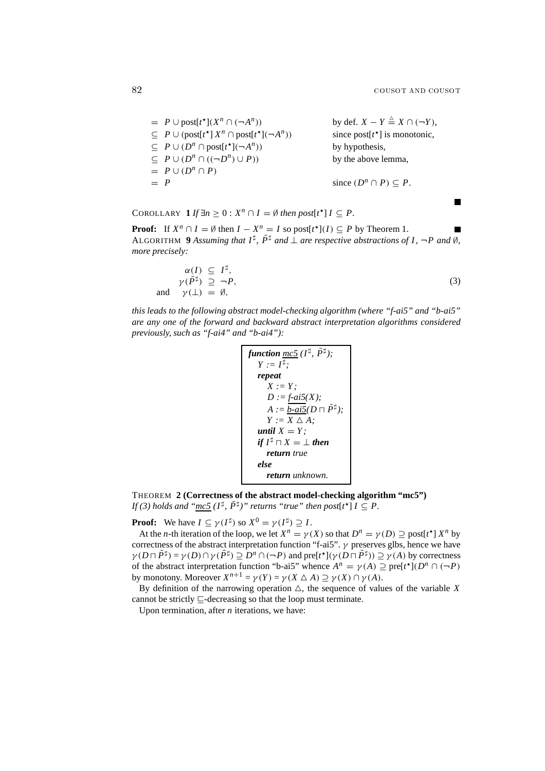$= P \cup \text{post}[t^{\star}]$  $J(X^n \cap (\neg A^n))$  by def.  $X - Y \stackrel{\triangle}{=} X \cap (\neg Y),$ ⊆ *P* ∪ (post[*t* ?] *X<sup>n</sup>* ∩ post[*t*  $\sum^{\star}$ ](¬*A<sup>n</sup>*)) since post[*t*<sup>\*</sup>] is monotonic, ⊆ *P* ∪ (*D<sup>n</sup>* ∩ post[*t* ? by hypothesis,  $\subset P \cup (D^n \cap ((\neg D^n) \cup P))$  by the above lemma,  $= P \cup (D^n \cap P)$  $= P$  since  $(D^n \cap P) \subseteq P$ .

COROLLARY **1** *If*  $\exists n \geq 0 : X^n \cap I = \emptyset$  *then post*[ $t^*$ ]  $I \subseteq P$ .

**Proof:** If  $X^n \cap I = \emptyset$  then  $I - X^n = I$  so  $\text{post}[t^*](I) \subseteq P$  by Theorem 1. ALGORITHM 9 Assuming that  $I^{\sharp}$ ,  $\bar{P}^{\sharp}$  and  $\bar{\bot}$  are respective abstractions of I,  $\neg P$  and Ø, *more precisely:*

$$
\alpha(I) \subseteq I^{\sharp}, \n\gamma(\bar{P}^{\sharp}) \supseteq \neg P, \n\text{and} \quad \gamma(\bot) = \emptyset,
$$
\n(3)

*this leads to the following abstract model-checking algorithm (where "f-ai5" and "b-ai5" are any one of the forward and backward abstract interpretation algorithms considered previously, such as "f-ai4" and "b-ai4"):*

function 
$$
\underline{mc5}(I^{\sharp}, \overline{P}^{\sharp});
$$
  
\n $Y := I^{\sharp};$   
\nrepeat  
\n $X := Y;$   
\n $D := f - ai5(X);$   
\n $A := \underline{b - ai5}(D \sqcap \overline{P}^{\sharp});$   
\n $Y := X \triangle A;$   
\nuntil  $X = Y;$   
\nif  $I^{\sharp} \sqcap X = \bot$  then  
\nreturn true  
\nelse  
\nreturn unknown.

THEOREM **2 (Correctness of the abstract model-checking algorithm "mc5")** *If* (3) holds and "<u>mc5</u>  $(I^{\sharp}, \bar{P}^{\sharp})$ " returns "true" then post[t\*]  $I \subseteq P$ .

**Proof:** We have  $I \subseteq \gamma(I^{\sharp})$  so  $X^{0} = \gamma(I^{\sharp}) \supseteq I$ .

At the *n*-th iteration of the loop, we let  $X^n = \gamma(X)$  so that  $D^n = \gamma(D) \supseteq \text{post}[t^*] X^n$  by correctness of the abstract interpretation function "f-ai5".  $\gamma$  preserves glbs, hence we have  $\gamma(D \cap \overline{P}^{\sharp}) = \gamma(D) \cap \gamma(\overline{P}^{\sharp}) \supseteq P^n \cap (\neg P)$  and pre[*t*\*]( $\gamma(D \cap \overline{P}^{\sharp}) \supseteq \gamma(A)$  by correctness of the abstract interpretation function "b-ai5" whence  $A^n = \gamma(A) \supseteq \text{pre}[t^*](D^n \cap (\neg P)$ by monotony. Moreover  $X^{n+1} = \gamma(Y) = \gamma(X \triangle A) \supseteq \gamma(X) \cap \gamma(A)$ .

By definition of the narrowing operation  $\triangle$ , the sequence of values of the variable *X* cannot be strictly  $\Box$ -decreasing so that the loop must terminate.

Upon termination, after *n* iterations, we have: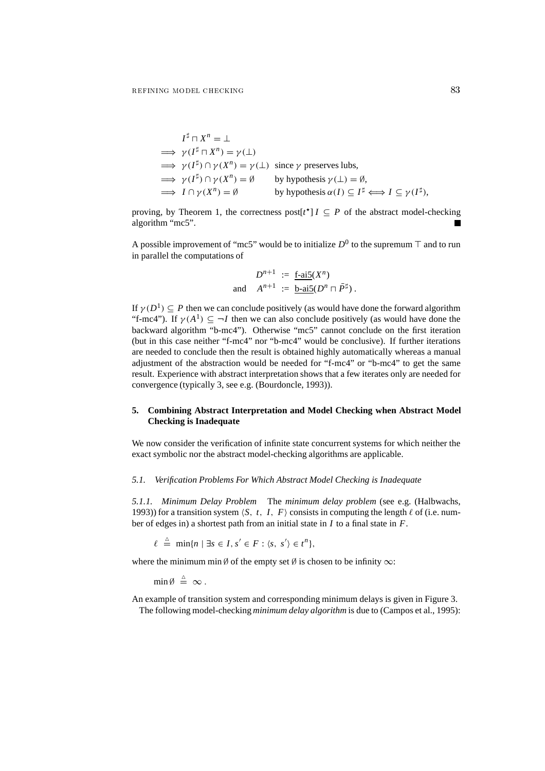$$
I^{\sharp} \sqcap X^{n} = \bot
$$
  
\n
$$
\implies \gamma(I^{\sharp} \sqcap X^{n}) = \gamma(\bot)
$$
  
\n
$$
\implies \gamma(I^{\sharp}) \cap \gamma(X^{n}) = \gamma(\bot) \text{ since } \gamma \text{ preserves lubs},
$$
  
\n
$$
\implies \gamma(I^{\sharp}) \cap \gamma(X^{n}) = \emptyset \qquad \text{by hypothesis } \gamma(\bot) = \emptyset,
$$
  
\n
$$
\implies I \cap \gamma(X^{n}) = \emptyset \qquad \text{by hypothesis } \alpha(I) \subseteq I^{\sharp} \iff I \subseteq \gamma(I^{\sharp}),
$$

proving, by Theorem 1, the correctness post $[t^{\star}] I \subseteq P$  of the abstract model-checking algorithm "mc5".

A possible improvement of "mc5" would be to initialize  $D^0$  to the supremum  $\top$  and to run in parallel the computations of

$$
D^{n+1} := \underline{\underline{\mathbf{f}}\text{-ai5}}(X^n)
$$
  
and 
$$
A^{n+1} := \underline{\underline{\mathbf{b}}\text{-ai5}}(D^n \sqcap \overline{P}^{\sharp}).
$$

If  $\gamma(D^1) \subset P$  then we can conclude positively (as would have done the forward algorithm "f-mc4"). If  $\gamma(A^1) \subseteq \neg I$  then we can also conclude positively (as would have done the backward algorithm "b-mc4"). Otherwise "mc5" cannot conclude on the first iteration (but in this case neither "f-mc4" nor "b-mc4" would be conclusive). If further iterations are needed to conclude then the result is obtained highly automatically whereas a manual adjustment of the abstraction would be needed for "f-mc4" or "b-mc4" to get the same result. Experience with abstract interpretation shows that a few iterates only are needed for convergence (typically 3, see e.g. (Bourdoncle, 1993)).

## **5. Combining Abstract Interpretation and Model Checking when Abstract Model Checking is Inadequate**

We now consider the verification of infinite state concurrent systems for which neither the exact symbolic nor the abstract model-checking algorithms are applicable.

#### *5.1. Verification Problems For Which Abstract Model Checking is Inadequate*

*5.1.1. Minimum Delay Problem* The *minimum delay problem* (see e.g. (Halbwachs, 1993)) for a transition system  $\langle S, t, I, F \rangle$  consists in computing the length  $\ell$  of (i.e. number of edges in) a shortest path from an initial state in *I* to a final state in *F*.

 $\ell \stackrel{\triangle}{=} \min\{n \mid \exists s \in I, s' \in F : \langle s, s' \rangle \in t^n\},\$ 

where the minimum min  $\emptyset$  of the empty set  $\emptyset$  is chosen to be infinity  $\infty$ :

 $\min \emptyset \triangleq \infty$ .

An example of transition system and corresponding minimum delays is given in Figure 3. The following model-checking *minimum delay algorithm* is due to (Campos et al., 1995):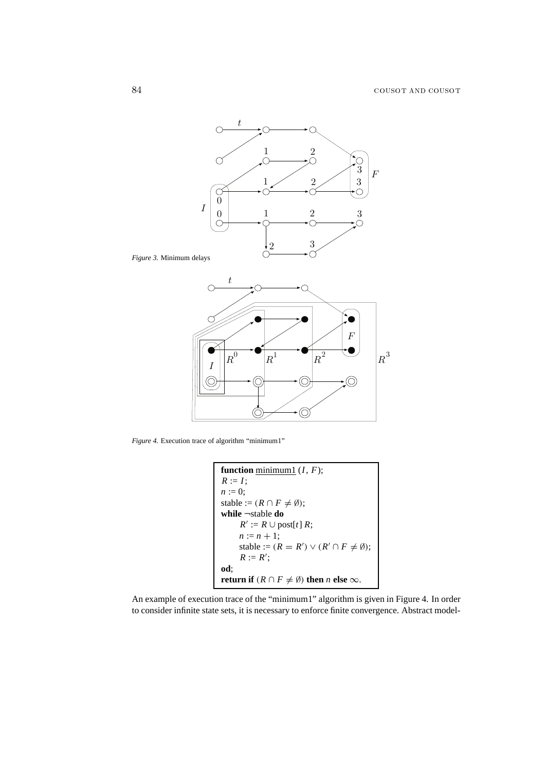

*Figure 4.* Execution trace of algorithm "minimum1"

```
function minimum1 (I, F);
R := I;
n := 0;stable := (R \cap F \neq \emptyset);
while ¬stable do
      R' := R \cup \text{post}[t] R;n := n + 1;stable := (R = R') \vee (R' \cap F \neq \emptyset);R := R';
od;
return if (R \cap F \neq \emptyset) then n else \infty.
```
An example of execution trace of the "minimum1" algorithm is given in Figure 4. In order to consider infinite state sets, it is necessary to enforce finite convergence. Abstract model-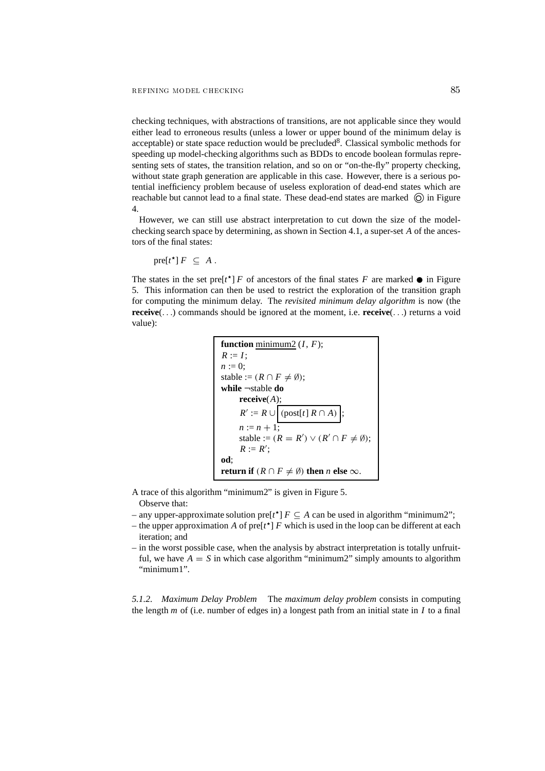checking techniques, with abstractions of transitions, are not applicable since they would either lead to erroneous results (unless a lower or upper bound of the minimum delay is acceptable) or state space reduction would be precluded<sup>8</sup>. Classical symbolic methods for speeding up model-checking algorithms such as BDDs to encode boolean formulas representing sets of states, the transition relation, and so on or "on-the-fly" property checking, without state graph generation are applicable in this case. However, there is a serious potential inefficiency problem because of useless exploration of dead-end states which are reachable but cannot lead to a final state. These dead-end states are marked  $\odot$  in Figure 4.

However, we can still use abstract interpretation to cut down the size of the modelchecking search space by determining, as shown in Section 4.1, a super-set *A* of the ancestors of the final states:

$$
\text{pre}[t^{\star}] F \subseteq A .
$$

The states in the set  $pre[t^{\star}]$  *F* of ancestors of the final states *F* are marked  $\bullet$  in Figure 5. This information can then be used to restrict the exploration of the transition graph for computing the minimum delay. The *revisited minimum delay algorithm* is now (the **receive**(...) commands should be ignored at the moment, i.e. **receive**(...) returns a void value):

```
function minimum2 (I, F);
R := I;
n := 0;
stable := (R \cap F \neq \emptyset);
while ¬stable do
      receive(A);
      R' := R \cup \left[ \left( \text{post}[t] \right) R \cap A \right]n := n + 1;stable := (R = R') \vee (R' \cap F \neq \emptyset);R := R';
od;
return if (R ∩ F ≠ ∅) then n else ∞.
```
A trace of this algorithm "minimum2" is given in Figure 5.

- Observe that:
- any upper-approximate solution pre $[t^{\star}]$  *F* ⊆ *A* can be used in algorithm "minimum2";
- the upper approximation *A* of pre $[t^{\star}]$  *F* which is used in the loop can be different at each iteration; and
- in the worst possible case, when the analysis by abstract interpretation is totally unfruitful, we have  $A = S$  in which case algorithm "minimum2" simply amounts to algorithm "minimum1".

*5.1.2. Maximum Delay Problem* The *maximum delay problem* consists in computing the length *m* of (i.e. number of edges in) a longest path from an initial state in *I* to a final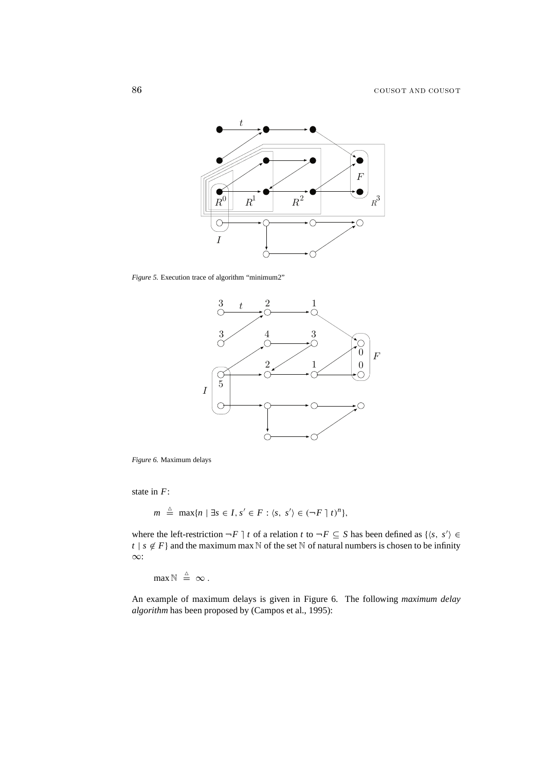

*Figure 5.* Execution trace of algorithm "minimum2"



*Figure 6.* Maximum delays

state in *F*:

$$
m \stackrel{\triangle}{=} \max\{n \mid \exists s \in I, s' \in F : \langle s, s' \rangle \in (\neg F \mid t)^n\},\
$$

where the left-restriction  $\neg F \rvert t$  of a relation  $t$  to  $\neg F \subseteq S$  has been defined as  $\{\langle s, s' \rangle \in S\}$ *t* | *s*  $\notin$  *F*} and the maximum max N of the set N of natural numbers is chosen to be infinity ∞:

 $\max \mathbb{N} \triangleq \infty$ .

An example of maximum delays is given in Figure 6. The following *maximum delay algorithm* has been proposed by (Campos et al., 1995):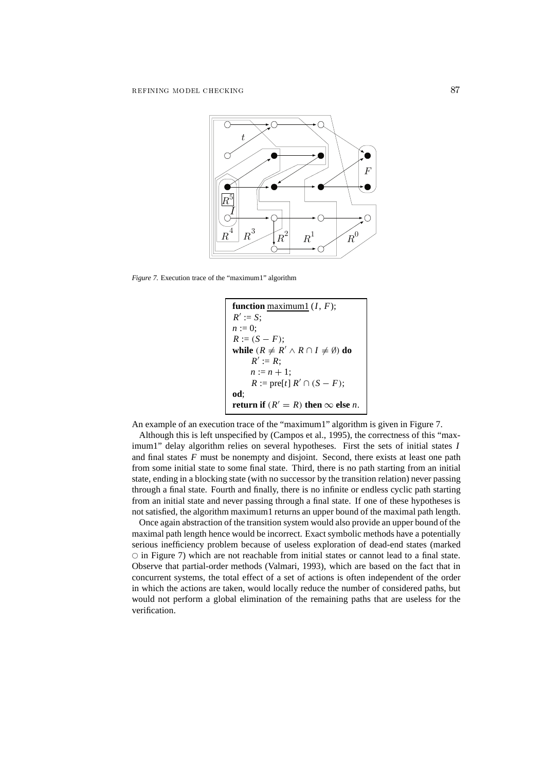

*Figure 7.* Execution trace of the "maximum1" algorithm

**function** maximum1  $(I, F)$ ;  $R' := S$ ;  $n := 0$ ;  $R := (S - F);$ **while**  $(R \neq R' \land R \cap I \neq \emptyset)$  **do**  $R' := R$ ;  $n := n + 1$ ;  $R := \text{pre}[t]$   $R' \cap (S - F);$ **od**; *return if*  $(R' = R)$  **then**  $\infty$  **else** *n*.

An example of an execution trace of the "maximum1" algorithm is given in Figure 7.

Although this is left unspecified by (Campos et al., 1995), the correctness of this "maximum1" delay algorithm relies on several hypotheses. First the sets of initial states *I* and final states *F* must be nonempty and disjoint. Second, there exists at least one path from some initial state to some final state. Third, there is no path starting from an initial state, ending in a blocking state (with no successor by the transition relation) never passing through a final state. Fourth and finally, there is no infinite or endless cyclic path starting from an initial state and never passing through a final state. If one of these hypotheses is not satisfied, the algorithm maximum1 returns an upper bound of the maximal path length.

Once again abstraction of the transition system would also provide an upper bound of the maximal path length hence would be incorrect. Exact symbolic methods have a potentially serious inefficiency problem because of useless exploration of dead-end states (marked  $\circ$  in Figure 7) which are not reachable from initial states or cannot lead to a final state. Observe that partial-order methods (Valmari, 1993), which are based on the fact that in concurrent systems, the total effect of a set of actions is often independent of the order in which the actions are taken, would locally reduce the number of considered paths, but would not perform a global elimination of the remaining paths that are useless for the verification.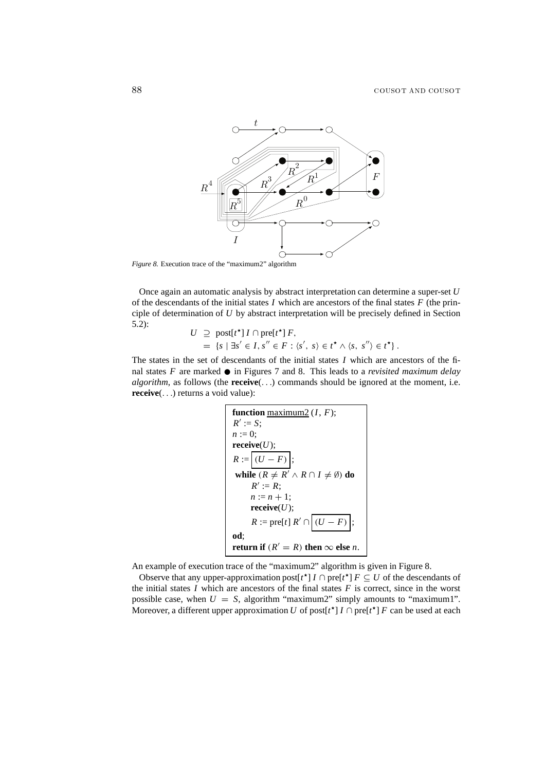

*Figure 8.* Execution trace of the "maximum2" algorithm

Once again an automatic analysis by abstract interpretation can determine a super-set *U* of the descendants of the initial states *I* which are ancestors of the final states *F* (the principle of determination of *U* by abstract interpretation will be precisely defined in Section 5.2):

$$
U \supseteq \text{post}[t^{\star}] I \cap \text{pre}[t^{\star}] F,
$$
  
= {s |  $\exists s' \in I, s'' \in F : \langle s', s \rangle \in t^{\star} \wedge \langle s, s'' \rangle \in t^{\star} }.$ 

The states in the set of descendants of the initial states *I* which are ancestors of the final states  $F$  are marked  $\bullet$  in Figures 7 and 8. This leads to a *revisited maximum delay algorithm*, as follows (the **receive**(...) commands should be ignored at the moment, i.e. **receive**(...) returns a void value):

function maximum2 
$$
(I, F)
$$
;  
\n $R' := S$ ;  
\n $n := 0$ ;  
\n**receive** $(U)$ ;  
\n $R := \boxed{(U - F)}$ ;  
\n**while**  $(R \neq R' \land R \cap I \neq \emptyset)$  **do**  
\n $R' := R$ ;  
\n $n := n + 1$ ;  
\n**receive** $(U)$ ;  
\n $R := \text{pre}[t] R' \cap \boxed{(U - F)}$ ;  
\n**od**;  
\n**return if**  $(R' = R)$  **then**  $\infty$  **else** *n*.

An example of execution trace of the "maximum2" algorithm is given in Figure 8.

Observe that any upper-approximation  $post[t^{\star}] I \cap pre[t^{\star}] F \subseteq U$  of the descendants of the initial states  $I$  which are ancestors of the final states  $F$  is correct, since in the worst possible case, when  $U = S$ , algorithm "maximum2" simply amounts to "maximum1". Moreover, a different upper approximation *U* of post[ $t^{\star}$ ]  $I \cap \text{pre}[t^{\star}]$   $F$  can be used at each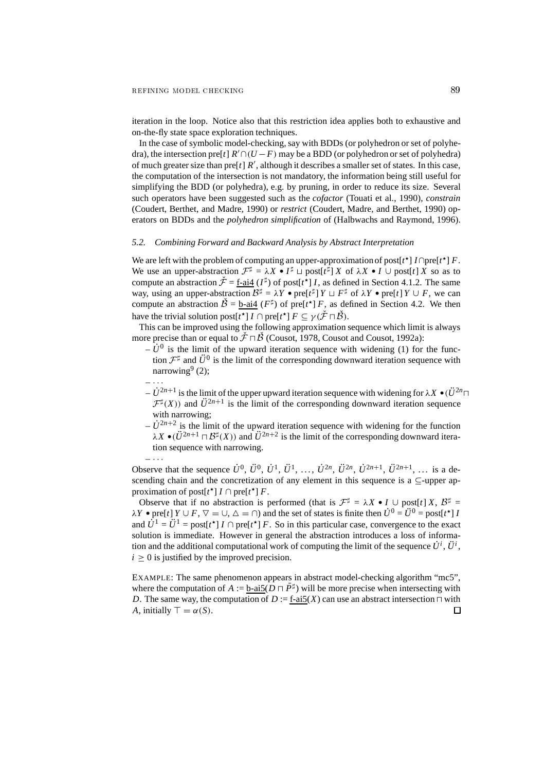$- \cdot \cdot \cdot$ 

iteration in the loop. Notice also that this restriction idea applies both to exhaustive and on-the-fly state space exploration techniques.

In the case of symbolic model-checking, say with BDDs (or polyhedron or set of polyhedra), the intersection pre[*t*]  $R' \cap (U - F)$  may be a BDD (or polyhedron or set of polyhedra) of much greater size than  $pre[t]$   $R'$ , although it describes a smaller set of states. In this case, the computation of the intersection is not mandatory, the information being still useful for simplifying the BDD (or polyhedra), e.g. by pruning, in order to reduce its size. Several such operators have been suggested such as the *cofactor* (Touati et al., 1990), *constrain* (Coudert, Berthet, and Madre, 1990) or *restrict* (Coudert, Madre, and Berthet, 1990) operators on BDDs and the *polyhedron simplification* of (Halbwachs and Raymond, 1996).

#### *5.2. Combining Forward and Backward Analysis by Abstract Interpretation*

We are left with the problem of computing an upper-approximation of post[ $t^{\star}$ ] *I*∩pre[ $t^{\star}$ ] *F*. We are left with the problem of computing an upper-approximation of post[ $t^*$ ] *I*  $\cap$ pre[ $t^*$ ] *F*.<br>We use an upper-abstraction  $\mathcal{F}^{\sharp} = \lambda X \bullet I^{\sharp} \sqcup \text{post}[t^{\sharp}] X$  of  $\lambda X \bullet I \cup \text{post}[t] X$  so as to compute an abstraction  $\check{\mathcal{F}} = \underline{\mathbf{f}}$ -ai4 ( $I^{\sharp}$ ) of post[ $t^{\star}$ ] *I*, as defined in Section 4.1.2. The same compute an abstraction  $\mathcal{F} = \underline{\text{1-} \text{ and } (I^*)}$  of post[ $t^*$ ] *I*, as defined in Section 4.1.2. The same way, using an upper-abstraction  $\mathcal{B}^{\sharp} = \lambda Y \cdot \text{per}[\tau^{\sharp}] Y \sqcup F^{\sharp}$  of  $\lambda Y \cdot \text{per}[\tau] Y \cup F$ , we can compute an abstraction  $\check{B} = \underline{b \cdot ai4}$  ( $F^{\sharp}$ ) of pre[ $t^{\star}$ ] *F*, as defined in Section 4.2. We then have the trivial solution post[ $t^{\star}$ ]  $I \cap \text{pre}[t^{\star}]$   $F \subseteq \gamma(\check{\mathcal{F}} \cap \check{\mathcal{B}})$ .

This can be improved using the following approximation sequence which limit is always more precise than or equal to  $\check{\mathcal{F}} \cap \check{\mathcal{B}}$  (Cousot, 1978, Cousot and Cousot, 1992a):

- $-\dot{U}^0$  is the limit of the upward iteration sequence with widening (1) for the function  $\mathcal{F}^{\sharp}$  and  $\ddot{U}^{0}$  is the limit of the corresponding downward iteration sequence with narrowing $9(2)$ ;
- $-\dot{U}^{2n+1}$  is the limit of the upper upward iteration sequence with widening for  $\lambda X \bullet (\ddot{U}^{2n} \cap$  $\mathcal{F}^{\sharp}(X)$ ) and  $\ddot{U}^{2n+1}$  is the limit of the corresponding downward iteration sequence with narrowing;
- $-\dot{U}^{2n+2}$  is the limit of the upward iteration sequence with widening for the function  $\lambda X \bullet (\ddot{U}^{2n+1} \sqcap \mathcal{B}^{\sharp}(X))$  and  $\ddot{U}^{2n+2}$  is the limit of the corresponding downward iteration sequence with narrowing.

Observe that the sequence  $\dot{U}^0$ ,  $\ddot{U}^0$ ,  $\ddot{U}^1$ ,  $\ddot{U}^1$ ,  $\cdots$ ,  $\dot{U}^{2n}$ ,  $\ddot{U}^{2n+1}$ ,  $\ddot{U}^{2n+1}$ ,  $\cdots$  is a descending chain and the concretization of any element in this sequence is a ⊂-upper approximation of  $post[t^{\star}] I \cap pre[t^{\star}] F$ .

Observe that if no abstraction is performed (that is  $\mathcal{F}^{\sharp} = \lambda X \bullet I \cup \text{post}[t] X$ ,  $\mathcal{B}^{\sharp} =$ Observe that if no abstraction is performed (that is  $\mathcal{F}^{\mu} = \lambda X \cdot I \cup \text{post}[t] X$ ,  $\mathcal{B}^{\mu} = \lambda Y \cdot \text{pre}[t] Y \cup F$ ,  $\nabla = \cup$ ,  $\Delta = \cap$ ) and the set of states is finite then  $\dot{U}^{0} = \dot{U}^{0} = \text{post}[t^{\star}] I$ and  $\hat{U}^1 = \hat{U}^1$  = post[ $t^*$ ]  $I \cap \text{pre}[t^*]$  *F*. So in this particular case, convergence to the exact solution is immediate. However in general the abstraction introduces a loss of information and the additional computational work of computing the limit of the sequence  $\dot{U}^i$ ,  $\ddot{U}^i$ ,  $i > 0$  is justified by the improved precision.

EXAMPLE: The same phenomenon appears in abstract model-checking algorithm "mc5", where the computation of  $A := b$ -ai5( $D \square \overline{P}^{\sharp}$ ) will be more precise when intersecting with *D*. The same way, the computation of  $D := f - a$  is  $(X)$  can use an abstract intersection  $\neg$  with *A*, initially  $\top = \alpha(S)$ .  $\Box$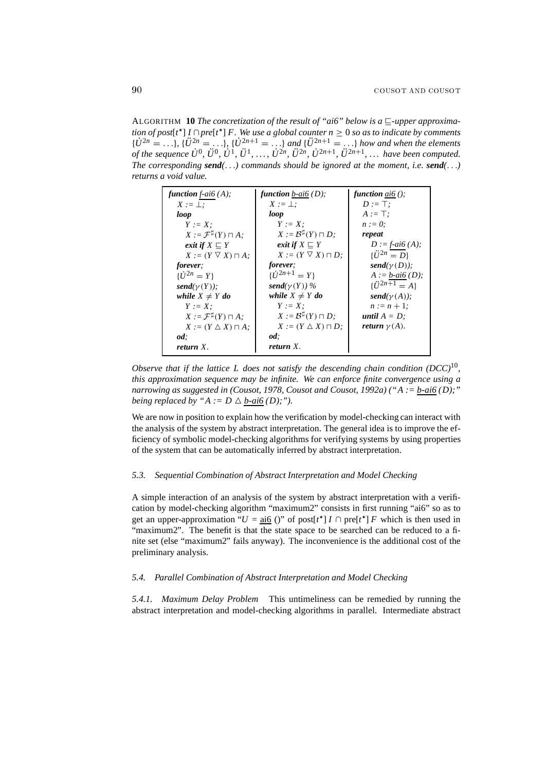ALGORITHM **10** *The concretization of the result of "ai6" below is a*  $\sqsubseteq$ -upper approxima*tion of post*[ $t^{\star}$ ]  $I \cap pre[t^{\star}]$  *F.* We use a global counter  $n \geq 0$  so as to indicate by comments  ${\{\dot{U}^{2n} = \ldots\}}$ *,*  ${\{\ddot{U}^{2n} = \ldots\}}$ *,*  ${\{\dot{U}^{2n+1} = \ldots\}}$  *and*  ${\{\ddot{U}^{2n+1} = \ldots\}}$  *how and when the elements* of the sequence  $\dot{U}^0$ ,  $\ddot{U}^1$ ,  $\ddot{U}^1$ ,  $\ddot{U}^1$ , ...,  $\dot{U}^{2n}$ ,  $\ddot{U}^{2n}$ ,  $\dot{U}^{2n+1}$ ,  $\dddot{U}^{2n+1}$ , ... have been computed. *The corresponding send(*...*) commands should be ignored at the moment, i.e. send(*...*) returns a void value.*

| function $f$ -ai $6(A)$ ;                 | function $b$ -ai $($ $D)$ ;              | function $ai6$ ();        |
|-------------------------------------------|------------------------------------------|---------------------------|
| $X := \perp$ :                            | $X := \perp$ :                           | $D := \top$ :             |
| loop                                      | loop                                     | $A := \top$ :             |
| $Y := X$ :                                | $Y := X$ :                               | $n := 0$ ;                |
| $X := \mathcal{F}^{\sharp}(Y) \sqcap A$ ; | $X := \mathcal{B}^{\sharp}(Y) \sqcap D;$ | repeat                    |
| exit if $X \sqsubset Y$                   | exit if $X \sqsubset Y$                  | $D := f - ai6(A);$        |
| $X := (Y \nabla X) \sqcap A$ ;            | $X := (Y \nabla X) \sqcap D$ ;           | $\{\ddot{U}^{2n} = D\}$   |
| <i>forever:</i>                           | <i>forever:</i>                          | send $(\gamma(D))$ ;      |
| $\{\dot{U}^{2n} = Y\}$                    | $\{\dot{U}^{2n+1} = Y\}$                 | $A := b$ -ai $($ D $);$   |
| send $(\gamma(Y))$ ;                      | send $(\gamma(Y))$ %                     | $\{\ddot{U}^{2n+1} = A\}$ |
| while $X \neq Y$ do                       | while $X \neq Y$ do                      | send $(\gamma(A))$ ;      |
| $Y := X$ :                                | $Y := X$ :                               | $n := n + 1$ ;            |
| $X := \mathcal{F}^{\sharp}(Y) \sqcap A$ ; | $X := \mathcal{B}^{\sharp}(Y) \sqcap D;$ | until $A = D$ ;           |
| $X := (Y \triangle X) \sqcap A$ ;         | $X := (Y \triangle X) \sqcap D$ ;        | return $\gamma(A)$ .      |
| od:                                       | od:                                      |                           |
| return X.                                 | return X.                                |                           |

*Observe that if the lattice L does not satisfy the descending chain condition*  $(DCC)^{10}$ *, this approximation sequence may be infinite. We can enforce finite convergence using a narrowing as suggested in (Cousot, 1978, Cousot and Cousot, 1992a) ("A := b-ai6 (D);" being replaced by "A :=*  $D \triangle b$ *-ai6 (D);"*).

We are now in position to explain how the verification by model-checking can interact with the analysis of the system by abstract interpretation. The general idea is to improve the efficiency of symbolic model-checking algorithms for verifying systems by using properties of the system that can be automatically inferred by abstract interpretation.

## *5.3. Sequential Combination of Abstract Interpretation and Model Checking*

A simple interaction of an analysis of the system by abstract interpretation with a verification by model-checking algorithm "maximum2" consists in first running "ai6" so as to get an upper-approximation " $U = \underline{\text{ai6}}$  ()" of post[ $t^*$ ]  $I \cap \text{pre}[t^*]$   $F$  which is then used in "maximum2". The benefit is that the state space to be searched can be reduced to a finite set (else "maximum2" fails anyway). The inconvenience is the additional cost of the preliminary analysis.

## *5.4. Parallel Combination of Abstract Interpretation and Model Checking*

*5.4.1. Maximum Delay Problem* This untimeliness can be remedied by running the abstract interpretation and model-checking algorithms in parallel. Intermediate abstract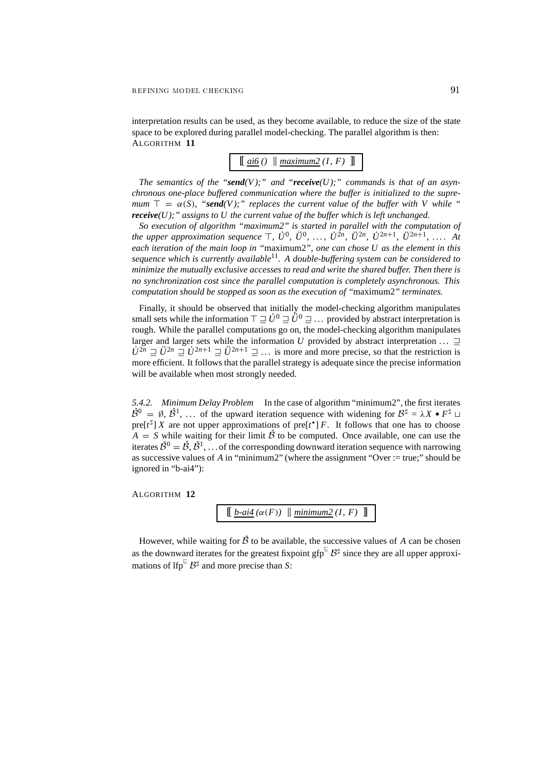interpretation results can be used, as they become available, to reduce the size of the state space to be explored during parallel model-checking. The parallel algorithm is then: ALGORITHM **11**

 $\left[\underline{\text{ai6}}\left(\right) \parallel \underline{\text{maximum2}}\left(I, F\right)\right]$ 

The semantics of the "*send*(V);" and "*receive*(U);" commands is that of an asyn*chronous one-place buffered communication where the buffer is initialized to the supremum*  $\top = \alpha(S)$ , "*send*(V);" *replaces the current value of the buffer with V while* " *receive(U);" assigns to U the current value of the buffer which is left unchanged.*

*So execution of algorithm "maximum2" is started in parallel with the computation of the upper approximation sequence*  $\top$ ,  $\dot{U}^0$ ,  $\ddot{U}^0$ , ...,  $\dot{U}^{2n}$ ,  $\ddot{U}^{2n}$ ,  $\dot{U}^{2n+1}$ ,  $\ddot{U}^{2n+1}$ , ...,  $\ddot{At}$ *each iteration of the main loop in "*maximum2*", one can chose U as the element in this sequence which is currently available*11*. A double-buffering system can be considered to minimize the mutually exclusive accesses to read and write the shared buffer. Then there is no synchronization cost since the parallel computation is completely asynchronous. This computation should be stopped as soon as the execution of "*maximum2*" terminates.*

Finally, it should be observed that initially the model-checking algorithm manipulates small sets while the information  $\top \sqsupseteq \dot{U}^0 \sqsupseteq \dot{U}^0 \sqsupseteq \ldots$  provided by abstract interpretation is rough. While the parallel computations go on, the model-checking algorithm manipulates larger and larger sets while the information *U* provided by abstract interpretation  $\dots \supseteq$  $\ddot{U}^{2n} \equiv \ddot{U}^{2n} \equiv \ddot{U}^{2n+1} \equiv \ddot{U}^{2n+1} \equiv \dots$  is more and more precise, so that the restriction is more efficient. It follows that the parallel strategy is adequate since the precise information will be available when most strongly needed.

*5.4.2. Minimum Delay Problem* In the case of algorithm "minimum2", the first iterates  $\hat{\mathcal{B}}^0 = \emptyset$ ,  $\hat{\mathcal{B}}^1$ , ... of the upward iteration sequence with widening for  $\mathcal{B}^{\sharp} = \lambda X \bullet F^{\sharp} \sqcup$ pre $[t^{\sharp}]$  *X* are not upper approximations of pre $[t^{\star}]$  *F*. It follows that one has to choose  $\hat{A} = S$  while waiting for their limit  $\hat{B}$  to be computed. Once available, one can use the iterates  $\check{\mathcal{B}}^0 = \hat{\mathcal{B}}, \check{\mathcal{B}}^1, \ldots$  of the corresponding downward iteration sequence with narrowing as successive values of *A* in "minimum2" (where the assignment "Over := true;" should be ignored in "b-ai4"):

ALGORITHM **12**

 $\left[\begin{array}{cc} \frac{b-\alpha i}{4}(\alpha(F)) & \frac{minimm2}{2}(I, F) \end{array}\right]$ 

However, while waiting for  $\hat{\beta}$  to be available, the successive values of *A* can be chosen as the downward iterates for the greatest fixpoint  $gfp^E B^{\sharp}$  since they are all upper approximations of lfp<sup> $\equiv$ </sup>  $\mathcal{B}^{\sharp}$  and more precise than *S*: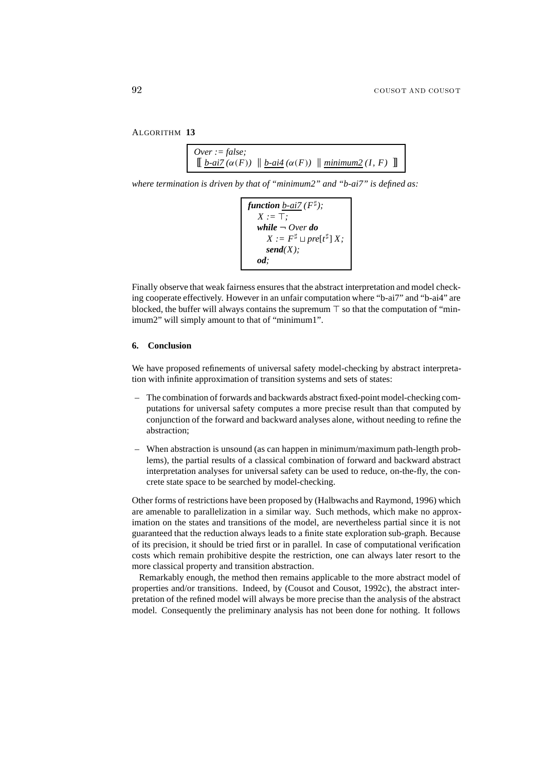ALGORITHM **13**

| $Over := false;$ |                                                                                                                                                                            |
|------------------|----------------------------------------------------------------------------------------------------------------------------------------------------------------------------|
|                  | $\left[\!\!\left[\right] \right]$ b-ai $7(\alpha(F))$ $\left[\!\!\left] \right]$ b-ai $4(\alpha(F))$ $\left[\!\!\left[ \right]$ minimum2 (I, F) $\left[\!\!\left] \right]$ |

*where termination is driven by that of "minimum2" and "b-ai7" is defined as:*

```
function b-ai7 (F^{\sharp});
   X := \top;while ¬ Over do
       X := F^{\sharp} \sqcup pre[t^{\sharp}] X;send(X);
   od;
```
Finally observe that weak fairness ensures that the abstract interpretation and model checking cooperate effectively. However in an unfair computation where "b-ai7" and "b-ai4" are blocked, the buffer will always contains the supremum  $\top$  so that the computation of "minimum2" will simply amount to that of "minimum1".

#### **6. Conclusion**

We have proposed refinements of universal safety model-checking by abstract interpretation with infinite approximation of transition systems and sets of states:

- The combination of forwards and backwards abstract fixed-point model-checking computations for universal safety computes a more precise result than that computed by conjunction of the forward and backward analyses alone, without needing to refine the abstraction;
- When abstraction is unsound (as can happen in minimum/maximum path-length problems), the partial results of a classical combination of forward and backward abstract interpretation analyses for universal safety can be used to reduce, on-the-fly, the concrete state space to be searched by model-checking.

Other forms of restrictions have been proposed by (Halbwachs and Raymond, 1996) which are amenable to parallelization in a similar way. Such methods, which make no approximation on the states and transitions of the model, are nevertheless partial since it is not guaranteed that the reduction always leads to a finite state exploration sub-graph. Because of its precision, it should be tried first or in parallel. In case of computational verification costs which remain prohibitive despite the restriction, one can always later resort to the more classical property and transition abstraction.

Remarkably enough, the method then remains applicable to the more abstract model of properties and/or transitions. Indeed, by (Cousot and Cousot, 1992c), the abstract interpretation of the refined model will always be more precise than the analysis of the abstract model. Consequently the preliminary analysis has not been done for nothing. It follows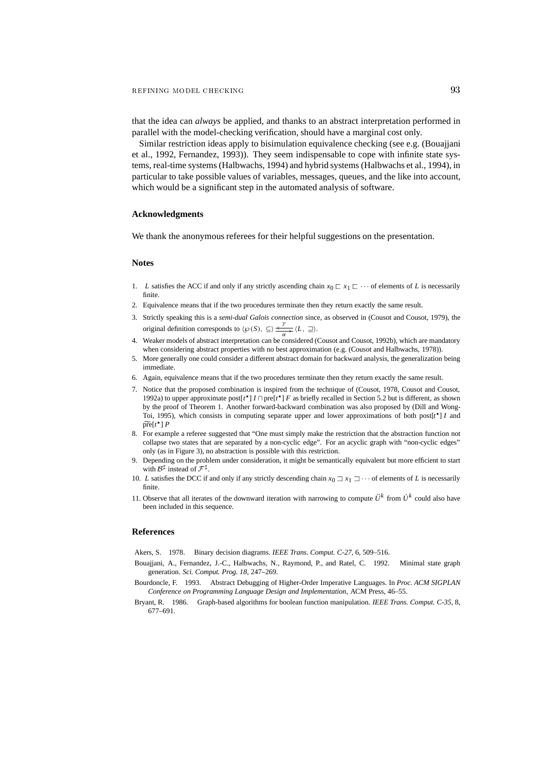that the idea can *always* be applied, and thanks to an abstract interpretation performed in parallel with the model-checking verification, should have a marginal cost only.

Similar restriction ideas apply to bisimulation equivalence checking (see e.g. (Bouajjani et al., 1992, Fernandez, 1993)). They seem indispensable to cope with infinite state systems, real-time systems (Halbwachs, 1994) and hybrid systems (Halbwachs et al., 1994), in particular to take possible values of variables, messages, queues, and the like into account, which would be a significant step in the automated analysis of software.

#### **Acknowledgments**

We thank the anonymous referees for their helpful suggestions on the presentation.

#### **Notes**

- 1. *L* satisfies the ACC if and only if any strictly ascending chain  $x_0 \nightharpoonup x_1 \nightharpoonup \cdots$  of elements of *L* is necessarily finite.
- 2. Equivalence means that if the two procedures terminate then they return exactly the same result.
- 3. Strictly speaking this is a *semi-dual Galois connection* since, as observed in (Cousot and Cousot, 1979), the original definition corresponds to  $\langle \wp(S), \subseteq \rangle \frac{\gamma}{\alpha} \langle L, \sqsupseteq \rangle$ .
- 4. Weaker models of abstract interpretation can be considered (Cousot and Cousot, 1992b), which are mandatory when considering abstract properties with no best approximation (e.g. (Cousot and Halbwachs, 1978)).
- 5. More generally one could consider a different abstract domain for backward analysis, the generalization being immediate.
- 6. Again, equivalence means that if the two procedures terminate then they return exactly the same result.
- 7. Notice that the proposed combination is inspired from the technique of (Cousot, 1978, Cousot and Cousot, 1992a) to upper approximate post[*t*<sup>★</sup>] *I* ∩ pre[*t*<sup>★</sup>] *F* as briefly recalled in Section 5.2 but is different, as shown by the proof of Theorem 1. Another forward-backward combination was also proposed by (Dill and Wong-Toi, 1995), which consists in computing separate upper and lower approximations of both post[*t* ?] *I* and 1992<br>by th<br>Toi,<br>pr̃e[*t*  $\widetilde{\text{pre}}[t^{\star}]$  *P*
- 8. For example a referee suggested that "One must simply make the restriction that the abstraction function not collapse two states that are separated by a non-cyclic edge". For an acyclic graph with "non-cyclic edges" only (as in Figure 3), no abstraction is possible with this restriction.
- 9. Depending on the problem under consideration, it might be semantically equivalent but more efficient to start with  $\mathcal{B}^{\sharp}$  instead of  $\mathcal{F}^{\sharp}$ .
- 10. *L* satisfies the DCC if and only if any strictly descending chain  $x_0 \square x_1 \square \cdots$  of elements of *L* is necessarily finite.
- 11. Observe that all iterates of the downward iteration with narrowing to compute  $\ddot{U}^k$  from  $\dot{U}^k$  could also have been included in this sequence.

#### **References**

Akers, S. 1978. Binary decision diagrams. *IEEE Trans. Comput. C-27*, 6, 509–516.

- Bouajjani, A., Fernandez, J.-C., Halbwachs, N., Raymond, P., and Ratel, C. 1992. Minimal state graph generation. *Sci. Comput. Prog. 18*, 247–269.
- Bourdoncle, F. 1993. Abstract Debugging of Higher-Order Imperative Languages. In *Proc. ACM SIGPLAN Conference on Programming Language Design and Implementation*, ACM Press, 46–55.
- Bryant, R. 1986. Graph-based algorithms for boolean function manipulation. *IEEE Trans. Comput. C-35*, 8, 677–691.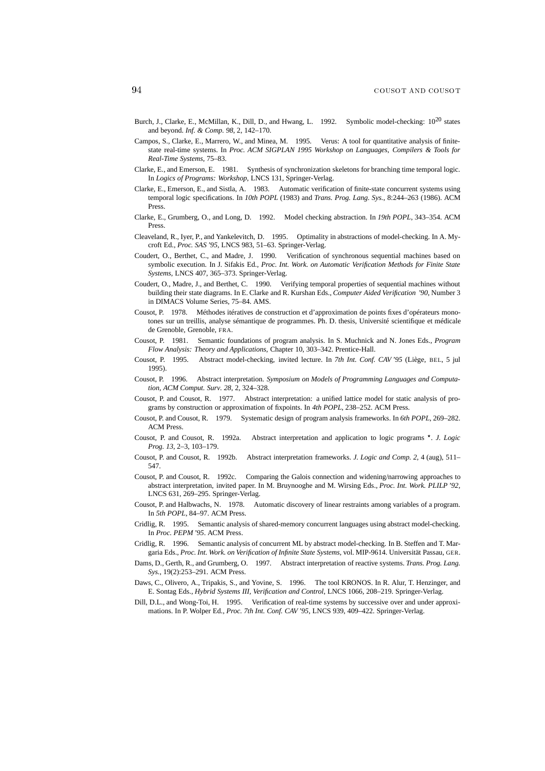- Burch, J., Clarke, E., McMillan, K., Dill, D., and Hwang, L. 1992. Symbolic model-checking: 10<sup>20</sup> states and beyond. *Inf. & Comp. 98*, 2, 142–170.
- Campos, S., Clarke, E., Marrero, W., and Minea, M. 1995. Verus: A tool for quantitative analysis of finitestate real-time systems. In *Proc. ACM SIGPLAN 1995 Workshop on Languages, Compilers & Tools for Real-Time Systems*, 75–83.
- Clarke, E., and Emerson, E. 1981. Synthesis of synchronization skeletons for branching time temporal logic. In *Logics of Programs: Workshop*, LNCS 131, Springer-Verlag.
- Clarke, E., Emerson, E., and Sistla, A. 1983. Automatic verification of finite-state concurrent systems using temporal logic specifications. In *10th POPL* (1983) and *Trans. Prog. Lang. Sys.*, 8:244–263 (1986). ACM Press.
- Clarke, E., Grumberg, O., and Long, D. 1992. Model checking abstraction. In *19th POPL*, 343–354. ACM Press.
- Cleaveland, R., Iyer, P., and Yankelevitch, D. 1995. Optimality in abstractions of model-checking. In A. Mycroft Ed., *Proc. SAS '95*, LNCS 983, 51–63. Springer-Verlag.
- Coudert, O., Berthet, C., and Madre, J. 1990. Verification of synchronous sequential machines based on symbolic execution. In J. Sifakis Ed., *Proc. Int. Work. on Automatic Verification Methods for Finite State Systems*, LNCS 407, 365–373. Springer-Verlag.
- Coudert, O., Madre, J., and Berthet, C. 1990. Verifying temporal properties of sequential machines without building their state diagrams. In E. Clarke and R. Kurshan Eds., *Computer Aided Verification '90*, Number 3 in DIMACS Volume Series, 75–84. AMS.
- Cousot, P. 1978. Méthodes itératives de construction et d'approximation de points fixes d'opérateurs monotones sur un treillis, analyse sémantique de programmes. Ph. D. thesis, Université scientifique et médicale de Grenoble, Grenoble, FRA.
- Cousot, P. 1981. Semantic foundations of program analysis. In S. Muchnick and N. Jones Eds., *Program Flow Analysis: Theory and Applications*, Chapter 10, 303–342. Prentice-Hall.
- Cousot, P. 1995. Abstract model-checking, invited lecture. In *7th Int. Conf. CAV '95* (Liège, BEL, 5 jul 1995).
- Cousot, P. 1996. Abstract interpretation. *Symposium on Models of Programming Languages and Computation, ACM Comput. Surv. 28*, 2, 324–328.
- Cousot, P. and Cousot, R. 1977. Abstract interpretation: a unified lattice model for static analysis of programs by construction or approximation of fixpoints. In *4th POPL*, 238–252. ACM Press.
- Cousot, P. and Cousot, R. 1979. Systematic design of program analysis frameworks. In *6th POPL*, 269–282. ACM Press.
- Cousot, P. and Cousot, R. 1992a. Abstract interpretation and application to logic programs ?. *J. Logic Prog. 13*, 2–3, 103–179.
- Cousot, P. and Cousot, R. 1992b. Abstract interpretation frameworks. *J. Logic and Comp. 2*, 4 (aug), 511– 547.
- Cousot, P. and Cousot, R. 1992c. Comparing the Galois connection and widening/narrowing approaches to abstract interpretation, invited paper. In M. Bruynooghe and M. Wirsing Eds., *Proc. Int. Work. PLILP '92*, LNCS 631, 269–295. Springer-Verlag.
- Cousot, P. and Halbwachs, N. 1978. Automatic discovery of linear restraints among variables of a program. In *5th POPL*, 84–97. ACM Press.
- Cridlig, R. 1995. Semantic analysis of shared-memory concurrent languages using abstract model-checking. In *Proc. PEPM '95*. ACM Press.
- Cridlig, R. 1996. Semantic analysis of concurrent ML by abstract model-checking. In B. Steffen and T. Margaria Eds., *Proc. Int. Work. on Verification of Infinite State Systems*, vol. MIP-9614. Universität Passau, GER.
- Dams, D., Gerth, R., and Grumberg, O. 1997. Abstract interpretation of reactive systems. *Trans. Prog. Lang. Sys.*, 19(2):253–291. ACM Press.
- Daws, C., Olivero, A., Tripakis, S., and Yovine, S. 1996. The tool KRONOS. In R. Alur, T. Henzinger, and E. Sontag Eds., *Hybrid Systems III, Verification and Control*, LNCS 1066, 208–219. Springer-Verlag.
- Dill, D.L., and Wong-Toi, H. 1995. Verification of real-time systems by successive over and under approximations. In P. Wolper Ed., *Proc. 7th Int. Conf. CAV '95*, LNCS 939, 409–422. Springer-Verlag.